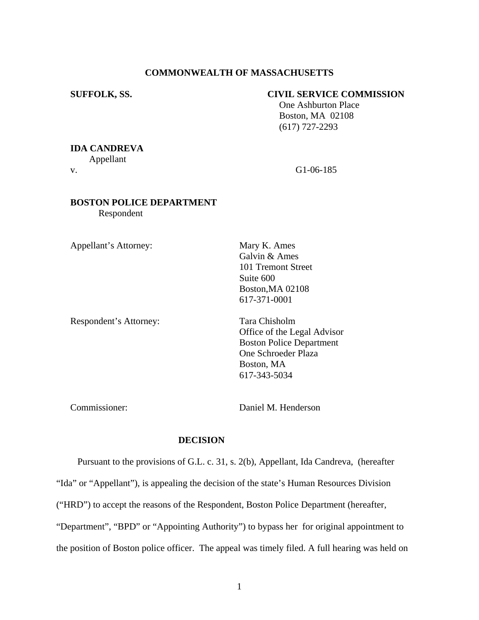### **COMMONWEALTH OF MASSACHUSETTS**

#### **SUFFOLK, SS. CIVIL SERVICE COMMISSION**

 One Ashburton Place Boston, MA 02108 (617) 727-2293

# **IDA CANDREVA**

Appellant

v. G1-06-185

# **BOSTON POLICE DEPARTMENT**

Respondent

Appellant's Attorney: Mary K. Ames

Respondent's Attorney: Tara Chisholm

Galvin & Ames 101 Tremont Street Suite 600 Boston,MA 02108 617-371-0001

Office of the Legal Advisor Boston Police Department One Schroeder Plaza Boston, MA 617-343-5034

Commissioner: Daniel M. Henderson

#### **DECISION**

 Pursuant to the provisions of G.L. c. 31, s. 2(b), Appellant, Ida Candreva, (hereafter "Ida" or "Appellant"), is appealing the decision of the state's Human Resources Division ("HRD") to accept the reasons of the Respondent, Boston Police Department (hereafter, "Department", "BPD" or "Appointing Authority") to bypass her for original appointment to the position of Boston police officer. The appeal was timely filed. A full hearing was held on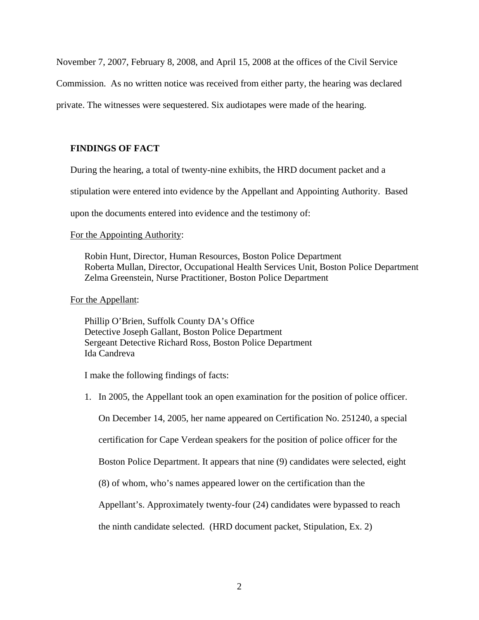November 7, 2007, February 8, 2008, and April 15, 2008 at the offices of the Civil Service

Commission. As no written notice was received from either party, the hearing was declared

private. The witnesses were sequestered. Six audiotapes were made of the hearing.

## **FINDINGS OF FACT**

During the hearing, a total of twenty-nine exhibits, the HRD document packet and a

stipulation were entered into evidence by the Appellant and Appointing Authority. Based

upon the documents entered into evidence and the testimony of:

#### For the Appointing Authority:

Robin Hunt, Director, Human Resources, Boston Police Department Roberta Mullan, Director, Occupational Health Services Unit, Boston Police Department Zelma Greenstein, Nurse Practitioner, Boston Police Department

#### For the Appellant:

Phillip O'Brien, Suffolk County DA's Office Detective Joseph Gallant, Boston Police Department Sergeant Detective Richard Ross, Boston Police Department Ida Candreva

I make the following findings of facts:

1. In 2005, the Appellant took an open examination for the position of police officer.

On December 14, 2005, her name appeared on Certification No. 251240, a special

certification for Cape Verdean speakers for the position of police officer for the

Boston Police Department. It appears that nine (9) candidates were selected, eight

(8) of whom, who's names appeared lower on the certification than the

Appellant's. Approximately twenty-four (24) candidates were bypassed to reach

the ninth candidate selected. (HRD document packet, Stipulation, Ex. 2)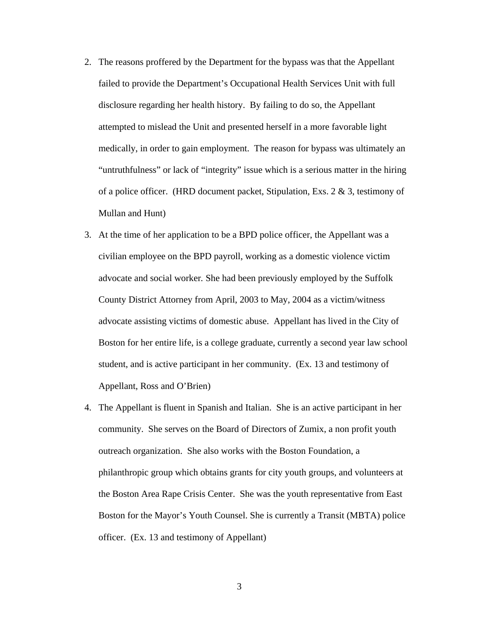- 2. The reasons proffered by the Department for the bypass was that the Appellant failed to provide the Department's Occupational Health Services Unit with full disclosure regarding her health history. By failing to do so, the Appellant attempted to mislead the Unit and presented herself in a more favorable light medically, in order to gain employment. The reason for bypass was ultimately an "untruthfulness" or lack of "integrity" issue which is a serious matter in the hiring of a police officer. (HRD document packet, Stipulation, Exs. 2  $\&$  3, testimony of Mullan and Hunt)
- 3. At the time of her application to be a BPD police officer, the Appellant was a civilian employee on the BPD payroll, working as a domestic violence victim advocate and social worker*.* She had been previously employed by the Suffolk County District Attorney from April, 2003 to May, 2004 as a victim/witness advocate assisting victims of domestic abuse. Appellant has lived in the City of Boston for her entire life, is a college graduate, currently a second year law school student, and is active participant in her community. (Ex. 13 and testimony of Appellant, Ross and O'Brien)
- 4. The Appellant is fluent in Spanish and Italian. She is an active participant in her community. She serves on the Board of Directors of Zumix, a non profit youth outreach organization. She also works with the Boston Foundation, a philanthropic group which obtains grants for city youth groups, and volunteers at the Boston Area Rape Crisis Center. She was the youth representative from East Boston for the Mayor's Youth Counsel. She is currently a Transit (MBTA) police officer. (Ex. 13 and testimony of Appellant)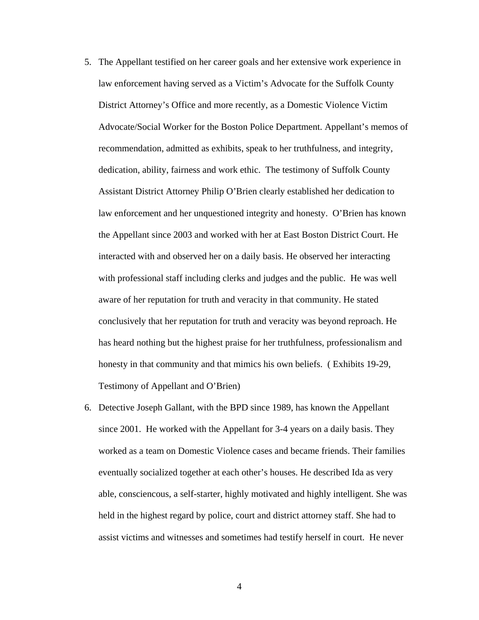- 5. The Appellant testified on her career goals and her extensive work experience in law enforcement having served as a Victim's Advocate for the Suffolk County District Attorney's Office and more recently, as a Domestic Violence Victim Advocate/Social Worker for the Boston Police Department. Appellant's memos of recommendation, admitted as exhibits, speak to her truthfulness, and integrity, dedication, ability, fairness and work ethic. The testimony of Suffolk County Assistant District Attorney Philip O'Brien clearly established her dedication to law enforcement and her unquestioned integrity and honesty. O'Brien has known the Appellant since 2003 and worked with her at East Boston District Court. He interacted with and observed her on a daily basis. He observed her interacting with professional staff including clerks and judges and the public. He was well aware of her reputation for truth and veracity in that community. He stated conclusively that her reputation for truth and veracity was beyond reproach. He has heard nothing but the highest praise for her truthfulness, professionalism and honesty in that community and that mimics his own beliefs. ( Exhibits 19-29, Testimony of Appellant and O'Brien)
- 6. Detective Joseph Gallant, with the BPD since 1989, has known the Appellant since 2001. He worked with the Appellant for 3-4 years on a daily basis. They worked as a team on Domestic Violence cases and became friends. Their families eventually socialized together at each other's houses. He described Ida as very able, consciencous, a self-starter, highly motivated and highly intelligent. She was held in the highest regard by police, court and district attorney staff. She had to assist victims and witnesses and sometimes had testify herself in court. He never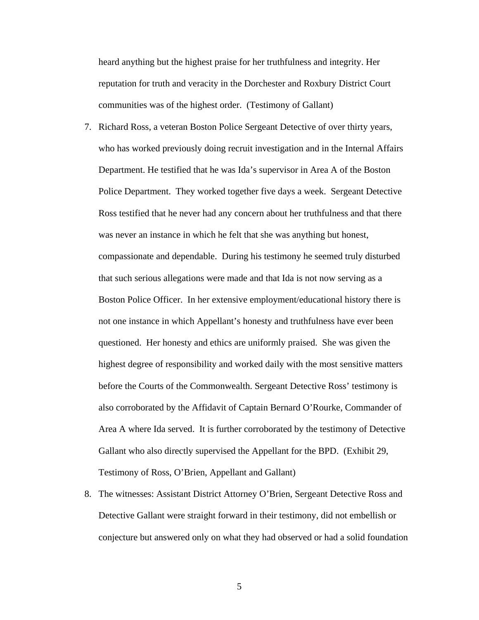heard anything but the highest praise for her truthfulness and integrity. Her reputation for truth and veracity in the Dorchester and Roxbury District Court communities was of the highest order. (Testimony of Gallant)

- 7. Richard Ross, a veteran Boston Police Sergeant Detective of over thirty years, who has worked previously doing recruit investigation and in the Internal Affairs Department. He testified that he was Ida's supervisor in Area A of the Boston Police Department. They worked together five days a week. Sergeant Detective Ross testified that he never had any concern about her truthfulness and that there was never an instance in which he felt that she was anything but honest, compassionate and dependable. During his testimony he seemed truly disturbed that such serious allegations were made and that Ida is not now serving as a Boston Police Officer. In her extensive employment/educational history there is not one instance in which Appellant's honesty and truthfulness have ever been questioned. Her honesty and ethics are uniformly praised. She was given the highest degree of responsibility and worked daily with the most sensitive matters before the Courts of the Commonwealth. Sergeant Detective Ross' testimony is also corroborated by the Affidavit of Captain Bernard O'Rourke, Commander of Area A where Ida served. It is further corroborated by the testimony of Detective Gallant who also directly supervised the Appellant for the BPD. (Exhibit 29, Testimony of Ross, O'Brien, Appellant and Gallant)
- 8. The witnesses: Assistant District Attorney O'Brien, Sergeant Detective Ross and Detective Gallant were straight forward in their testimony, did not embellish or conjecture but answered only on what they had observed or had a solid foundation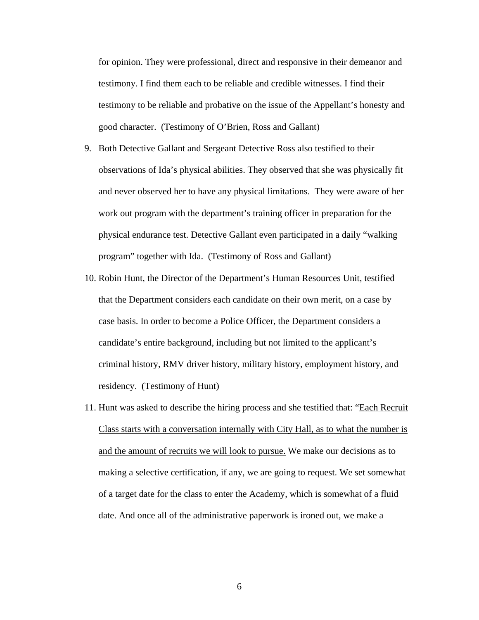for opinion. They were professional, direct and responsive in their demeanor and testimony. I find them each to be reliable and credible witnesses. I find their testimony to be reliable and probative on the issue of the Appellant's honesty and good character. (Testimony of O'Brien, Ross and Gallant)

- 9. Both Detective Gallant and Sergeant Detective Ross also testified to their observations of Ida's physical abilities. They observed that she was physically fit and never observed her to have any physical limitations. They were aware of her work out program with the department's training officer in preparation for the physical endurance test. Detective Gallant even participated in a daily "walking program" together with Ida. (Testimony of Ross and Gallant)
- 10. Robin Hunt, the Director of the Department's Human Resources Unit, testified that the Department considers each candidate on their own merit, on a case by case basis. In order to become a Police Officer, the Department considers a candidate's entire background, including but not limited to the applicant's criminal history, RMV driver history, military history, employment history, and residency. (Testimony of Hunt)
- 11. Hunt was asked to describe the hiring process and she testified that: "Each Recruit Class starts with a conversation internally with City Hall, as to what the number is and the amount of recruits we will look to pursue. We make our decisions as to making a selective certification, if any, we are going to request. We set somewhat of a target date for the class to enter the Academy, which is somewhat of a fluid date. And once all of the administrative paperwork is ironed out, we make a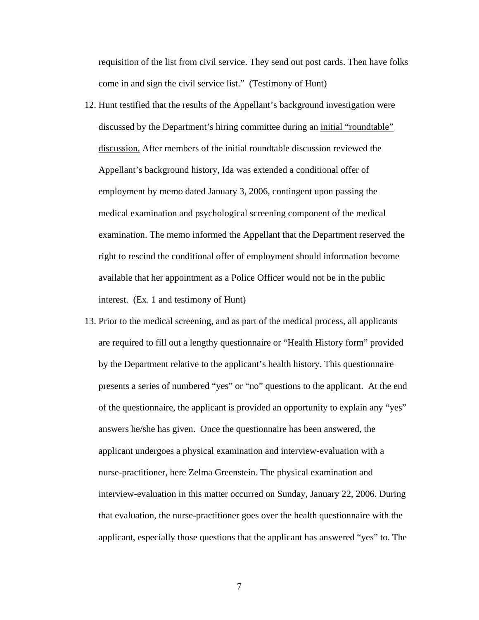requisition of the list from civil service. They send out post cards. Then have folks come in and sign the civil service list." (Testimony of Hunt)

- 12. Hunt testified that the results of the Appellant's background investigation were discussed by the Department's hiring committee during an initial "roundtable" discussion. After members of the initial roundtable discussion reviewed the Appellant's background history, Ida was extended a conditional offer of employment by memo dated January 3, 2006, contingent upon passing the medical examination and psychological screening component of the medical examination. The memo informed the Appellant that the Department reserved the right to rescind the conditional offer of employment should information become available that her appointment as a Police Officer would not be in the public interest. (Ex. 1 and testimony of Hunt)
- 13. Prior to the medical screening, and as part of the medical process, all applicants are required to fill out a lengthy questionnaire or "Health History form" provided by the Department relative to the applicant's health history. This questionnaire presents a series of numbered "yes" or "no" questions to the applicant. At the end of the questionnaire, the applicant is provided an opportunity to explain any "yes" answers he/she has given. Once the questionnaire has been answered, the applicant undergoes a physical examination and interview-evaluation with a nurse-practitioner, here Zelma Greenstein. The physical examination and interview-evaluation in this matter occurred on Sunday, January 22, 2006. During that evaluation, the nurse-practitioner goes over the health questionnaire with the applicant, especially those questions that the applicant has answered "yes" to. The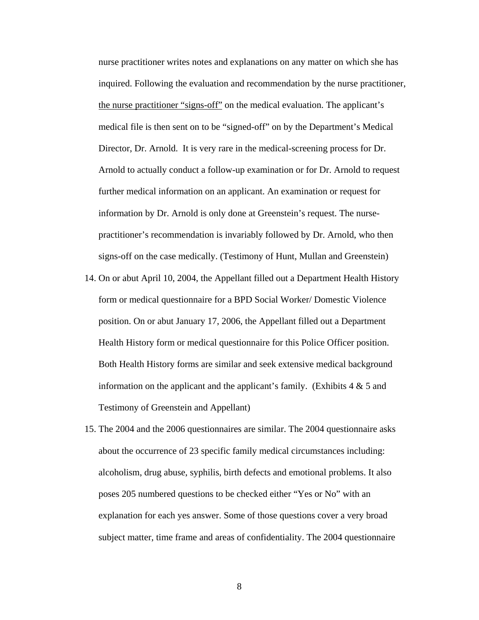nurse practitioner writes notes and explanations on any matter on which she has inquired. Following the evaluation and recommendation by the nurse practitioner, the nurse practitioner "signs-off" on the medical evaluation. The applicant's medical file is then sent on to be "signed-off" on by the Department's Medical Director, Dr. Arnold. It is very rare in the medical-screening process for Dr. Arnold to actually conduct a follow-up examination or for Dr. Arnold to request further medical information on an applicant. An examination or request for information by Dr. Arnold is only done at Greenstein's request. The nursepractitioner's recommendation is invariably followed by Dr. Arnold, who then signs-off on the case medically. (Testimony of Hunt, Mullan and Greenstein)

- 14. On or abut April 10, 2004, the Appellant filled out a Department Health History form or medical questionnaire for a BPD Social Worker/ Domestic Violence position. On or abut January 17, 2006, the Appellant filled out a Department Health History form or medical questionnaire for this Police Officer position. Both Health History forms are similar and seek extensive medical background information on the applicant and the applicant's family. (Exhibits  $4 \& 5$  and Testimony of Greenstein and Appellant)
- 15. The 2004 and the 2006 questionnaires are similar. The 2004 questionnaire asks about the occurrence of 23 specific family medical circumstances including: alcoholism, drug abuse, syphilis, birth defects and emotional problems. It also poses 205 numbered questions to be checked either "Yes or No" with an explanation for each yes answer. Some of those questions cover a very broad subject matter, time frame and areas of confidentiality. The 2004 questionnaire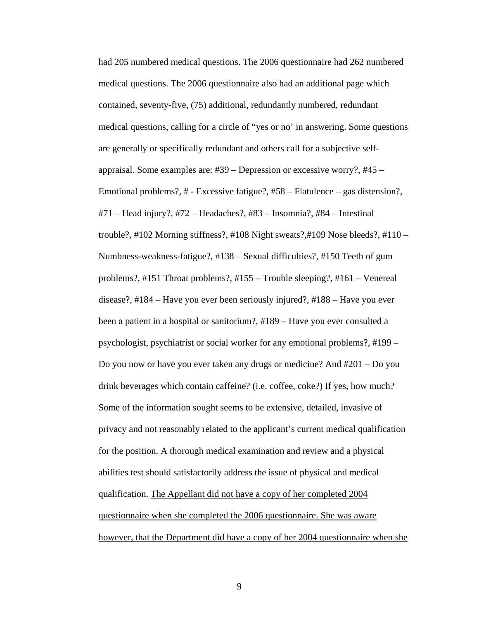had 205 numbered medical questions. The 2006 questionnaire had 262 numbered medical questions. The 2006 questionnaire also had an additional page which contained, seventy-five, (75) additional, redundantly numbered, redundant medical questions, calling for a circle of "yes or no' in answering. Some questions are generally or specifically redundant and others call for a subjective selfappraisal. Some examples are: #39 – Depression or excessive worry?, #45 – Emotional problems?, # - Excessive fatigue?, #58 – Flatulence – gas distension?, #71 – Head injury?, #72 – Headaches?, #83 – Insomnia?, #84 – Intestinal trouble?, #102 Morning stiffness?, #108 Night sweats?,#109 Nose bleeds?, #110 – Numbness-weakness-fatigue?, #138 – Sexual difficulties?, #150 Teeth of gum problems?, #151 Throat problems?, #155 – Trouble sleeping?, #161 – Venereal disease?, #184 – Have you ever been seriously injured?, #188 – Have you ever been a patient in a hospital or sanitorium?, #189 – Have you ever consulted a psychologist, psychiatrist or social worker for any emotional problems?, #199 – Do you now or have you ever taken any drugs or medicine? And #201 – Do you drink beverages which contain caffeine? (i.e. coffee, coke?) If yes, how much? Some of the information sought seems to be extensive, detailed, invasive of privacy and not reasonably related to the applicant's current medical qualification for the position. A thorough medical examination and review and a physical abilities test should satisfactorily address the issue of physical and medical qualification. The Appellant did not have a copy of her completed 2004 questionnaire when she completed the 2006 questionnaire. She was aware however, that the Department did have a copy of her 2004 questionnaire when she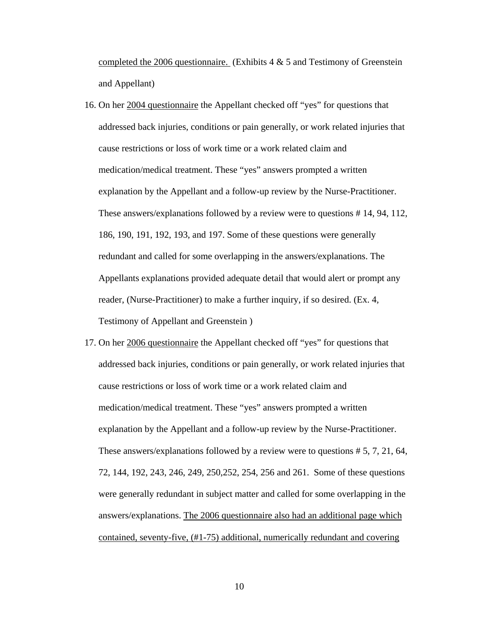completed the 2006 questionnaire. (Exhibits  $4 \& 5$  and Testimony of Greenstein and Appellant)

- 16. On her 2004 questionnaire the Appellant checked off "yes" for questions that addressed back injuries, conditions or pain generally, or work related injuries that cause restrictions or loss of work time or a work related claim and medication/medical treatment. These "yes" answers prompted a written explanation by the Appellant and a follow-up review by the Nurse-Practitioner. These answers/explanations followed by a review were to questions # 14, 94, 112, 186, 190, 191, 192, 193, and 197. Some of these questions were generally redundant and called for some overlapping in the answers/explanations. The Appellants explanations provided adequate detail that would alert or prompt any reader, (Nurse-Practitioner) to make a further inquiry, if so desired. (Ex. 4*,*  Testimony of Appellant and Greenstein )
- 17. On her 2006 questionnaire the Appellant checked off "yes" for questions that addressed back injuries, conditions or pain generally, or work related injuries that cause restrictions or loss of work time or a work related claim and medication/medical treatment. These "yes" answers prompted a written explanation by the Appellant and a follow-up review by the Nurse-Practitioner. These answers/explanations followed by a review were to questions # 5, 7, 21, 64, 72, 144, 192, 243, 246, 249, 250,252, 254, 256 and 261. Some of these questions were generally redundant in subject matter and called for some overlapping in the answers/explanations. The 2006 questionnaire also had an additional page which contained, seventy-five, (#1-75) additional, numerically redundant and covering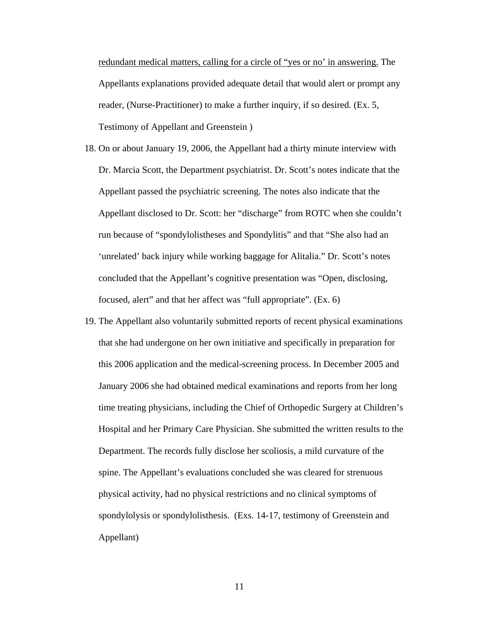redundant medical matters, calling for a circle of "yes or no' in answering. The Appellants explanations provided adequate detail that would alert or prompt any reader, (Nurse-Practitioner) to make a further inquiry, if so desired. (Ex. 5*,*  Testimony of Appellant and Greenstein )

18. On or about January 19, 2006, the Appellant had a thirty minute interview with Dr. Marcia Scott, the Department psychiatrist. Dr. Scott's notes indicate that the Appellant passed the psychiatric screening. The notes also indicate that the Appellant disclosed to Dr. Scott: her "discharge" from ROTC when she couldn't run because of "spondylolistheses and Spondylitis" and that "She also had an 'unrelated' back injury while working baggage for Alitalia." Dr. Scott's notes concluded that the Appellant's cognitive presentation was "Open, disclosing, focused, alert" and that her affect was "full appropriate". (Ex. 6)

19. The Appellant also voluntarily submitted reports of recent physical examinations that she had undergone on her own initiative and specifically in preparation for this 2006 application and the medical-screening process. In December 2005 and January 2006 she had obtained medical examinations and reports from her long time treating physicians, including the Chief of Orthopedic Surgery at Children's Hospital and her Primary Care Physician. She submitted the written results to the Department. The records fully disclose her scoliosis, a mild curvature of the spine. The Appellant's evaluations concluded she was cleared for strenuous physical activity, had no physical restrictions and no clinical symptoms of spondylolysis or spondylolisthesis. (Exs. 14-17, testimony of Greenstein and Appellant)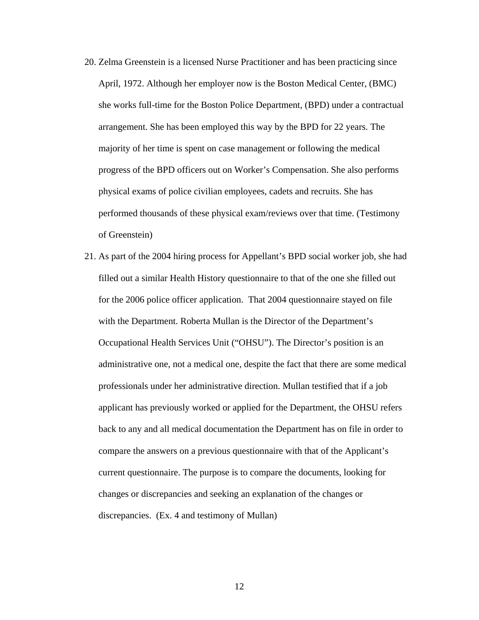- 20. Zelma Greenstein is a licensed Nurse Practitioner and has been practicing since April, 1972. Although her employer now is the Boston Medical Center, (BMC) she works full-time for the Boston Police Department, (BPD) under a contractual arrangement. She has been employed this way by the BPD for 22 years. The majority of her time is spent on case management or following the medical progress of the BPD officers out on Worker's Compensation. She also performs physical exams of police civilian employees, cadets and recruits. She has performed thousands of these physical exam/reviews over that time. (Testimony of Greenstein)
- 21. As part of the 2004 hiring process for Appellant's BPD social worker job, she had filled out a similar Health History questionnaire to that of the one she filled out for the 2006 police officer application. That 2004 questionnaire stayed on file with the Department. Roberta Mullan is the Director of the Department's Occupational Health Services Unit ("OHSU"). The Director's position is an administrative one, not a medical one, despite the fact that there are some medical professionals under her administrative direction. Mullan testified that if a job applicant has previously worked or applied for the Department, the OHSU refers back to any and all medical documentation the Department has on file in order to compare the answers on a previous questionnaire with that of the Applicant's current questionnaire. The purpose is to compare the documents, looking for changes or discrepancies and seeking an explanation of the changes or discrepancies. (Ex. 4 and testimony of Mullan)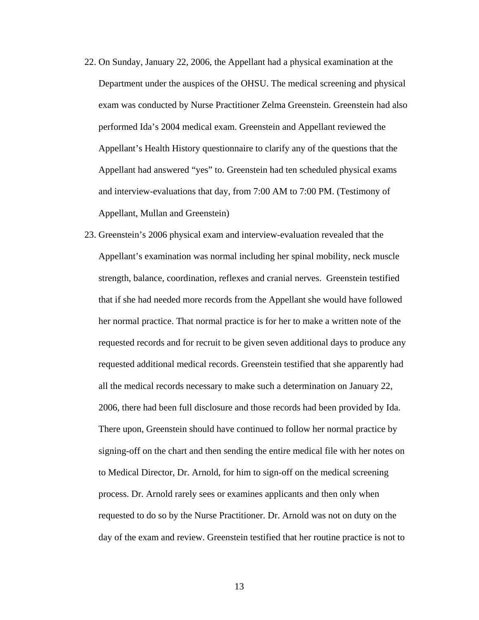- 22. On Sunday, January 22, 2006, the Appellant had a physical examination at the Department under the auspices of the OHSU. The medical screening and physical exam was conducted by Nurse Practitioner Zelma Greenstein. Greenstein had also performed Ida's 2004 medical exam. Greenstein and Appellant reviewed the Appellant's Health History questionnaire to clarify any of the questions that the Appellant had answered "yes" to. Greenstein had ten scheduled physical exams and interview-evaluations that day, from 7:00 AM to 7:00 PM. (Testimony of Appellant, Mullan and Greenstein)
- 23. Greenstein's 2006 physical exam and interview-evaluation revealed that the Appellant's examination was normal including her spinal mobility, neck muscle strength, balance, coordination, reflexes and cranial nerves. Greenstein testified that if she had needed more records from the Appellant she would have followed her normal practice. That normal practice is for her to make a written note of the requested records and for recruit to be given seven additional days to produce any requested additional medical records. Greenstein testified that she apparently had all the medical records necessary to make such a determination on January 22, 2006, there had been full disclosure and those records had been provided by Ida. There upon, Greenstein should have continued to follow her normal practice by signing-off on the chart and then sending the entire medical file with her notes on to Medical Director, Dr. Arnold, for him to sign-off on the medical screening process. Dr. Arnold rarely sees or examines applicants and then only when requested to do so by the Nurse Practitioner. Dr. Arnold was not on duty on the day of the exam and review. Greenstein testified that her routine practice is not to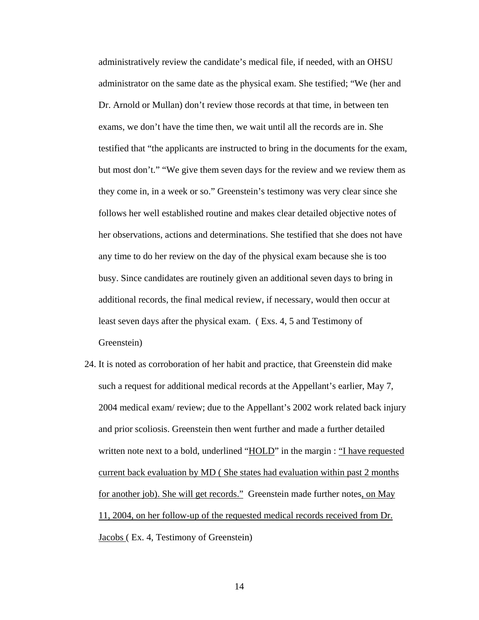administratively review the candidate's medical file, if needed, with an OHSU administrator on the same date as the physical exam. She testified; "We (her and Dr. Arnold or Mullan) don't review those records at that time, in between ten exams, we don't have the time then, we wait until all the records are in. She testified that "the applicants are instructed to bring in the documents for the exam, but most don't." "We give them seven days for the review and we review them as they come in, in a week or so." Greenstein's testimony was very clear since she follows her well established routine and makes clear detailed objective notes of her observations, actions and determinations. She testified that she does not have any time to do her review on the day of the physical exam because she is too busy. Since candidates are routinely given an additional seven days to bring in additional records, the final medical review, if necessary, would then occur at least seven days after the physical exam. ( Exs. 4, 5 and Testimony of Greenstein)

24. It is noted as corroboration of her habit and practice, that Greenstein did make such a request for additional medical records at the Appellant's earlier, May 7, 2004 medical exam/ review; due to the Appellant's 2002 work related back injury and prior scoliosis. Greenstein then went further and made a further detailed written note next to a bold, underlined " $\underline{HOLD}$ " in the margin : "I have requested current back evaluation by MD ( She states had evaluation within past 2 months for another job). She will get records." Greenstein made further notes, on May 11, 2004, on her follow-up of the requested medical records received from Dr. Jacobs ( Ex. 4, Testimony of Greenstein)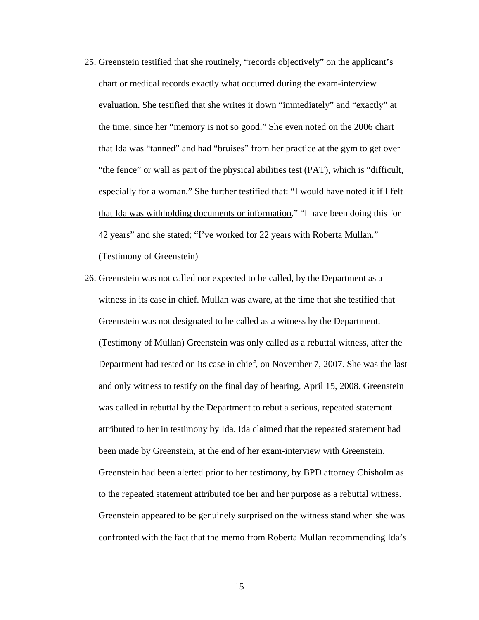- 25. Greenstein testified that she routinely, "records objectively" on the applicant's chart or medical records exactly what occurred during the exam-interview evaluation. She testified that she writes it down "immediately" and "exactly" at the time, since her "memory is not so good." She even noted on the 2006 chart that Ida was "tanned" and had "bruises" from her practice at the gym to get over "the fence" or wall as part of the physical abilities test (PAT), which is "difficult, especially for a woman." She further testified that: "I would have noted it if I felt that Ida was withholding documents or information." "I have been doing this for 42 years" and she stated; "I've worked for 22 years with Roberta Mullan." (Testimony of Greenstein)
- 26. Greenstein was not called nor expected to be called, by the Department as a witness in its case in chief. Mullan was aware, at the time that she testified that Greenstein was not designated to be called as a witness by the Department. (Testimony of Mullan) Greenstein was only called as a rebuttal witness, after the Department had rested on its case in chief, on November 7, 2007. She was the last and only witness to testify on the final day of hearing, April 15, 2008. Greenstein was called in rebuttal by the Department to rebut a serious, repeated statement attributed to her in testimony by Ida. Ida claimed that the repeated statement had been made by Greenstein, at the end of her exam-interview with Greenstein. Greenstein had been alerted prior to her testimony, by BPD attorney Chisholm as to the repeated statement attributed toe her and her purpose as a rebuttal witness. Greenstein appeared to be genuinely surprised on the witness stand when she was confronted with the fact that the memo from Roberta Mullan recommending Ida's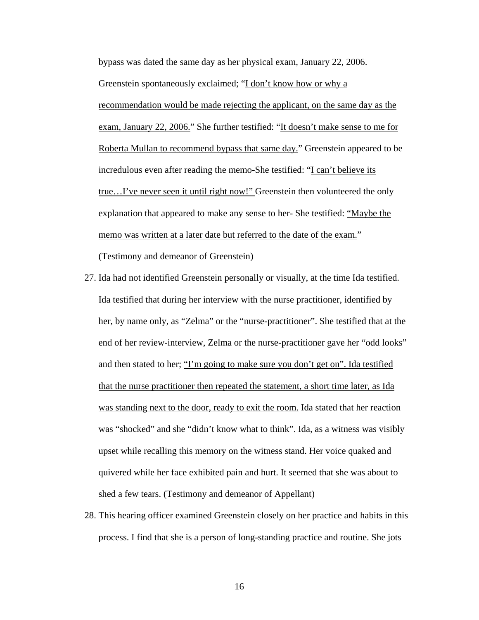bypass was dated the same day as her physical exam, January 22, 2006. Greenstein spontaneously exclaimed; "I don't know how or why a recommendation would be made rejecting the applicant, on the same day as the exam, January 22, 2006." She further testified: "It doesn't make sense to me for Roberta Mullan to recommend bypass that same day." Greenstein appeared to be incredulous even after reading the memo-She testified: "I can't believe its true…I've never seen it until right now!" Greenstein then volunteered the only explanation that appeared to make any sense to her- She testified: "Maybe the memo was written at a later date but referred to the date of the exam."

(Testimony and demeanor of Greenstein)

- 27. Ida had not identified Greenstein personally or visually, at the time Ida testified. Ida testified that during her interview with the nurse practitioner, identified by her, by name only, as "Zelma" or the "nurse-practitioner". She testified that at the end of her review-interview, Zelma or the nurse-practitioner gave her "odd looks" and then stated to her; "I'm going to make sure you don't get on". Ida testified that the nurse practitioner then repeated the statement, a short time later, as Ida was standing next to the door, ready to exit the room. Ida stated that her reaction was "shocked" and she "didn't know what to think". Ida, as a witness was visibly upset while recalling this memory on the witness stand. Her voice quaked and quivered while her face exhibited pain and hurt. It seemed that she was about to shed a few tears. (Testimony and demeanor of Appellant)
- 28. This hearing officer examined Greenstein closely on her practice and habits in this process. I find that she is a person of long-standing practice and routine. She jots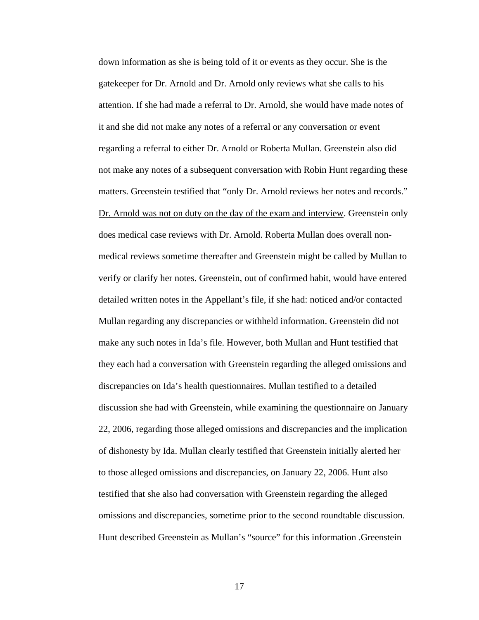down information as she is being told of it or events as they occur. She is the gatekeeper for Dr. Arnold and Dr. Arnold only reviews what she calls to his attention. If she had made a referral to Dr. Arnold, she would have made notes of it and she did not make any notes of a referral or any conversation or event regarding a referral to either Dr. Arnold or Roberta Mullan. Greenstein also did not make any notes of a subsequent conversation with Robin Hunt regarding these matters. Greenstein testified that "only Dr. Arnold reviews her notes and records." Dr. Arnold was not on duty on the day of the exam and interview. Greenstein only does medical case reviews with Dr. Arnold. Roberta Mullan does overall nonmedical reviews sometime thereafter and Greenstein might be called by Mullan to verify or clarify her notes. Greenstein, out of confirmed habit, would have entered detailed written notes in the Appellant's file, if she had: noticed and/or contacted Mullan regarding any discrepancies or withheld information. Greenstein did not make any such notes in Ida's file. However, both Mullan and Hunt testified that they each had a conversation with Greenstein regarding the alleged omissions and discrepancies on Ida's health questionnaires. Mullan testified to a detailed discussion she had with Greenstein, while examining the questionnaire on January 22, 2006, regarding those alleged omissions and discrepancies and the implication of dishonesty by Ida. Mullan clearly testified that Greenstein initially alerted her to those alleged omissions and discrepancies, on January 22, 2006. Hunt also testified that she also had conversation with Greenstein regarding the alleged omissions and discrepancies, sometime prior to the second roundtable discussion. Hunt described Greenstein as Mullan's "source" for this information .Greenstein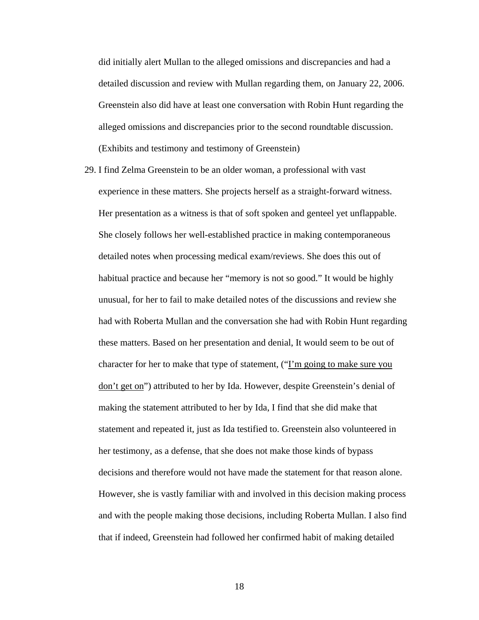did initially alert Mullan to the alleged omissions and discrepancies and had a detailed discussion and review with Mullan regarding them, on January 22, 2006. Greenstein also did have at least one conversation with Robin Hunt regarding the alleged omissions and discrepancies prior to the second roundtable discussion. (Exhibits and testimony and testimony of Greenstein)

29. I find Zelma Greenstein to be an older woman, a professional with vast experience in these matters. She projects herself as a straight-forward witness. Her presentation as a witness is that of soft spoken and genteel yet unflappable. She closely follows her well-established practice in making contemporaneous detailed notes when processing medical exam/reviews. She does this out of habitual practice and because her "memory is not so good." It would be highly unusual, for her to fail to make detailed notes of the discussions and review she had with Roberta Mullan and the conversation she had with Robin Hunt regarding these matters. Based on her presentation and denial, It would seem to be out of character for her to make that type of statement, ("I'm going to make sure you don't get on") attributed to her by Ida. However, despite Greenstein's denial of making the statement attributed to her by Ida, I find that she did make that statement and repeated it, just as Ida testified to. Greenstein also volunteered in her testimony, as a defense, that she does not make those kinds of bypass decisions and therefore would not have made the statement for that reason alone. However, she is vastly familiar with and involved in this decision making process and with the people making those decisions, including Roberta Mullan. I also find that if indeed, Greenstein had followed her confirmed habit of making detailed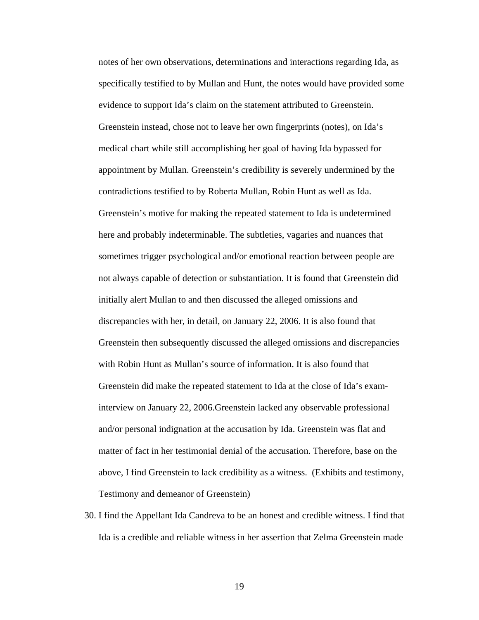notes of her own observations, determinations and interactions regarding Ida, as specifically testified to by Mullan and Hunt, the notes would have provided some evidence to support Ida's claim on the statement attributed to Greenstein. Greenstein instead, chose not to leave her own fingerprints (notes), on Ida's medical chart while still accomplishing her goal of having Ida bypassed for appointment by Mullan. Greenstein's credibility is severely undermined by the contradictions testified to by Roberta Mullan, Robin Hunt as well as Ida. Greenstein's motive for making the repeated statement to Ida is undetermined here and probably indeterminable. The subtleties, vagaries and nuances that sometimes trigger psychological and/or emotional reaction between people are not always capable of detection or substantiation. It is found that Greenstein did initially alert Mullan to and then discussed the alleged omissions and discrepancies with her, in detail, on January 22, 2006. It is also found that Greenstein then subsequently discussed the alleged omissions and discrepancies with Robin Hunt as Mullan's source of information. It is also found that Greenstein did make the repeated statement to Ida at the close of Ida's examinterview on January 22, 2006.Greenstein lacked any observable professional and/or personal indignation at the accusation by Ida. Greenstein was flat and matter of fact in her testimonial denial of the accusation. Therefore, base on the above, I find Greenstein to lack credibility as a witness. (Exhibits and testimony, Testimony and demeanor of Greenstein)

30. I find the Appellant Ida Candreva to be an honest and credible witness. I find that Ida is a credible and reliable witness in her assertion that Zelma Greenstein made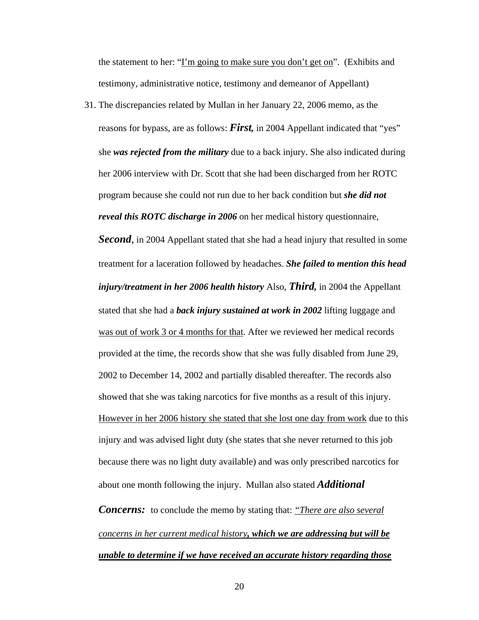the statement to her: "I'm going to make sure you don't get on". (Exhibits and testimony, administrative notice, testimony and demeanor of Appellant)

31. The discrepancies related by Mullan in her January 22, 2006 memo, as the reasons for bypass, are as follows: *First,* in 2004 Appellant indicated that "yes" she *was rejected from the military* due to a back injury. She also indicated during her 2006 interview with Dr. Scott that she had been discharged from her ROTC program because she could not run due to her back condition but *she did not reveal this ROTC discharge in 2006* on her medical history questionnaire,

*Second*, in 2004 Appellant stated that she had a head injury that resulted in some treatment for a laceration followed by headaches. *She failed to mention this head injury/treatment in her 2006 health history* Also, *Third,* in 2004 the Appellant stated that she had a *back injury sustained at work in 2002* lifting luggage and was out of work 3 or 4 months for that. After we reviewed her medical records provided at the time, the records show that she was fully disabled from June 29, 2002 to December 14, 2002 and partially disabled thereafter. The records also showed that she was taking narcotics for five months as a result of this injury. However in her 2006 history she stated that she lost one day from work due to this injury and was advised light duty (she states that she never returned to this job because there was no light duty available) and was only prescribed narcotics for about one month following the injury. Mullan also stated *Additional* 

*Concerns:* to conclude the memo by stating that: *"There are also several concerns in her current medical history, which we are addressing but will be unable to determine if we have received an accurate history regarding those*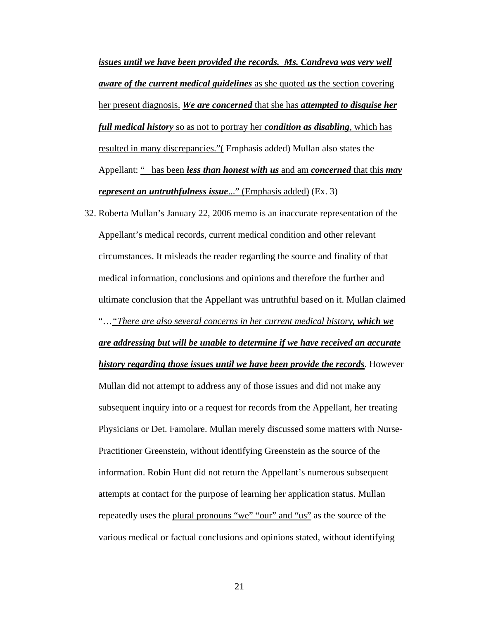*issues until we have been provided the records. Ms. Candreva was very well aware of the current medical guidelines* as she quoted *us* the section covering her present diagnosis. *We are concerned* that she has *attempted to disguise her full medical history* so as not to portray her *condition as disabling*, which has resulted in many discrepancies."( Emphasis added) Mullan also states the Appellant: " has been *less than honest with us* and am *concerned* that this *may represent an untruthfulness issue*..." (Emphasis added) (Ex. 3)

32. Roberta Mullan's January 22, 2006 memo is an inaccurate representation of the Appellant's medical records, current medical condition and other relevant circumstances. It misleads the reader regarding the source and finality of that medical information, conclusions and opinions and therefore the further and ultimate conclusion that the Appellant was untruthful based on it. Mullan claimed "…*"There are also several concerns in her current medical history, which we are addressing but will be unable to determine if we have received an accurate history regarding those issues until we have been provide the records*. However Mullan did not attempt to address any of those issues and did not make any subsequent inquiry into or a request for records from the Appellant, her treating Physicians or Det. Famolare. Mullan merely discussed some matters with Nurse-Practitioner Greenstein, without identifying Greenstein as the source of the information. Robin Hunt did not return the Appellant's numerous subsequent attempts at contact for the purpose of learning her application status. Mullan repeatedly uses the plural pronouns "we" "our" and "us" as the source of the various medical or factual conclusions and opinions stated, without identifying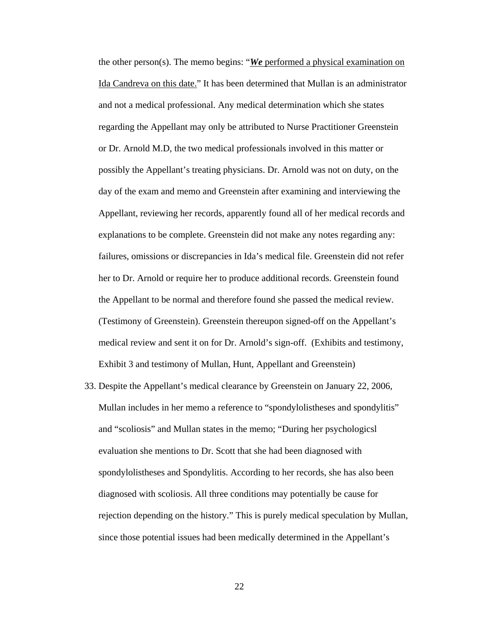the other person(s). The memo begins: "*We* performed a physical examination on Ida Candreva on this date." It has been determined that Mullan is an administrator and not a medical professional. Any medical determination which she states regarding the Appellant may only be attributed to Nurse Practitioner Greenstein or Dr. Arnold M.D, the two medical professionals involved in this matter or possibly the Appellant's treating physicians. Dr. Arnold was not on duty, on the day of the exam and memo and Greenstein after examining and interviewing the Appellant, reviewing her records, apparently found all of her medical records and explanations to be complete. Greenstein did not make any notes regarding any: failures, omissions or discrepancies in Ida's medical file. Greenstein did not refer her to Dr. Arnold or require her to produce additional records. Greenstein found the Appellant to be normal and therefore found she passed the medical review. (Testimony of Greenstein). Greenstein thereupon signed-off on the Appellant's medical review and sent it on for Dr. Arnold's sign-off. (Exhibits and testimony, Exhibit 3 and testimony of Mullan, Hunt, Appellant and Greenstein)

33. Despite the Appellant's medical clearance by Greenstein on January 22, 2006, Mullan includes in her memo a reference to "spondylolistheses and spondylitis" and "scoliosis" and Mullan states in the memo; "During her psychologicsl evaluation she mentions to Dr. Scott that she had been diagnosed with spondylolistheses and Spondylitis. According to her records, she has also been diagnosed with scoliosis. All three conditions may potentially be cause for rejection depending on the history." This is purely medical speculation by Mullan, since those potential issues had been medically determined in the Appellant's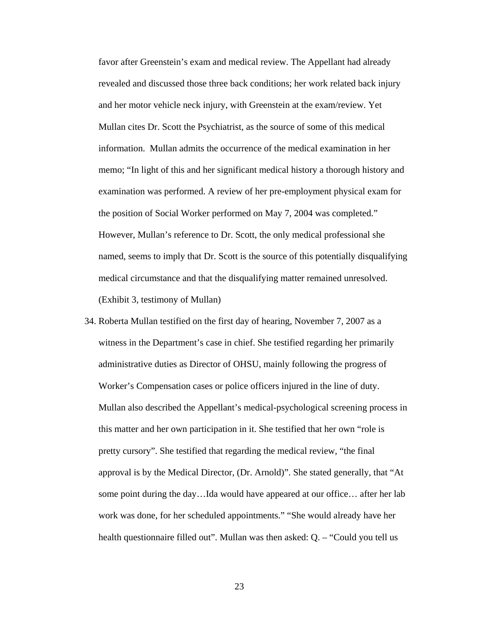favor after Greenstein's exam and medical review. The Appellant had already revealed and discussed those three back conditions; her work related back injury and her motor vehicle neck injury, with Greenstein at the exam/review. Yet Mullan cites Dr. Scott the Psychiatrist, as the source of some of this medical information. Mullan admits the occurrence of the medical examination in her memo; "In light of this and her significant medical history a thorough history and examination was performed. A review of her pre-employment physical exam for the position of Social Worker performed on May 7, 2004 was completed." However, Mullan's reference to Dr. Scott, the only medical professional she named, seems to imply that Dr. Scott is the source of this potentially disqualifying medical circumstance and that the disqualifying matter remained unresolved. (Exhibit 3, testimony of Mullan)

34. Roberta Mullan testified on the first day of hearing, November 7, 2007 as a witness in the Department's case in chief. She testified regarding her primarily administrative duties as Director of OHSU, mainly following the progress of Worker's Compensation cases or police officers injured in the line of duty. Mullan also described the Appellant's medical-psychological screening process in this matter and her own participation in it. She testified that her own "role is pretty cursory". She testified that regarding the medical review, "the final approval is by the Medical Director, (Dr. Arnold)". She stated generally, that "At some point during the day…Ida would have appeared at our office… after her lab work was done, for her scheduled appointments." "She would already have her health questionnaire filled out". Mullan was then asked: Q. – "Could you tell us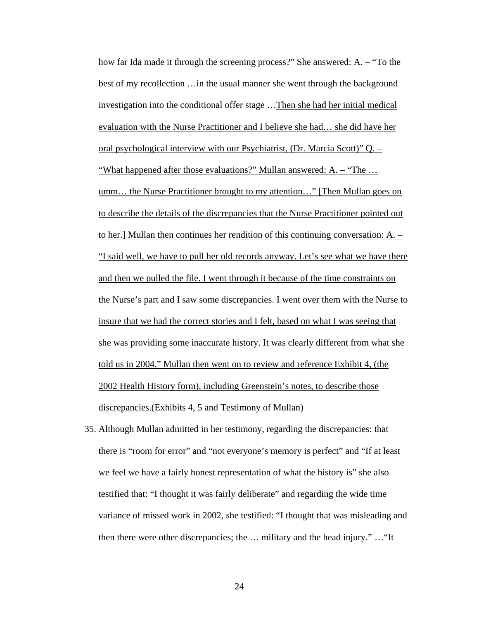how far Ida made it through the screening process?" She answered: A. – "To the best of my recollection …in the usual manner she went through the background investigation into the conditional offer stage …Then she had her initial medical evaluation with the Nurse Practitioner and I believe she had… she did have her oral psychological interview with our Psychiatrist, (Dr. Marcia Scott)" Q. – "What happened after those evaluations?" Mullan answered: A. – "The … umm… the Nurse Practitioner brought to my attention…" [Then Mullan goes on to describe the details of the discrepancies that the Nurse Practitioner pointed out to her.] Mullan then continues her rendition of this continuing conversation: A. – "I said well, we have to pull her old records anyway. Let's see what we have there and then we pulled the file. I went through it because of the time constraints on the Nurse's part and I saw some discrepancies. I went over them with the Nurse to insure that we had the correct stories and I felt, based on what I was seeing that she was providing some inaccurate history. It was clearly different from what she told us in 2004." Mullan then went on to review and reference Exhibit 4, (the 2002 Health History form), including Greenstein's notes, to describe those discrepancies.(Exhibits 4, 5 and Testimony of Mullan)

35. Although Mullan admitted in her testimony, regarding the discrepancies: that there is "room for error" and "not everyone's memory is perfect" and "If at least we feel we have a fairly honest representation of what the history is" she also testified that: "I thought it was fairly deliberate" and regarding the wide time variance of missed work in 2002, she testified: "I thought that was misleading and then there were other discrepancies; the … military and the head injury." …"It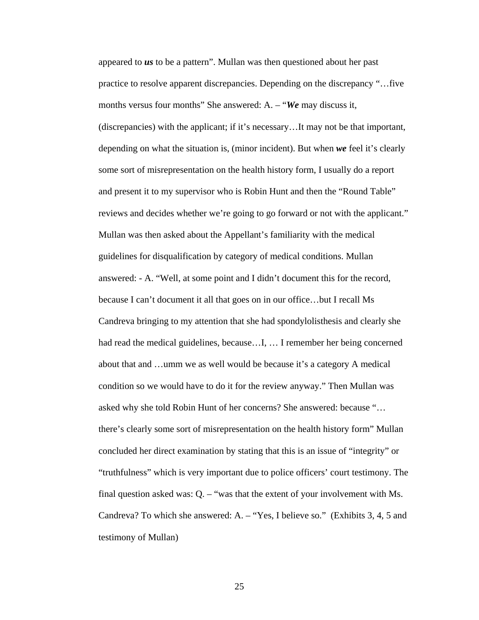appeared to *us* to be a pattern". Mullan was then questioned about her past practice to resolve apparent discrepancies. Depending on the discrepancy "…five months versus four months" She answered: A. – "*We* may discuss it, (discrepancies) with the applicant; if it's necessary…It may not be that important, depending on what the situation is, (minor incident). But when *we* feel it's clearly some sort of misrepresentation on the health history form, I usually do a report and present it to my supervisor who is Robin Hunt and then the "Round Table" reviews and decides whether we're going to go forward or not with the applicant." Mullan was then asked about the Appellant's familiarity with the medical guidelines for disqualification by category of medical conditions. Mullan answered: - A. "Well, at some point and I didn't document this for the record, because I can't document it all that goes on in our office…but I recall Ms Candreva bringing to my attention that she had spondylolisthesis and clearly she had read the medical guidelines, because…I, … I remember her being concerned about that and …umm we as well would be because it's a category A medical condition so we would have to do it for the review anyway." Then Mullan was asked why she told Robin Hunt of her concerns? She answered: because "… there's clearly some sort of misrepresentation on the health history form" Mullan concluded her direct examination by stating that this is an issue of "integrity" or "truthfulness" which is very important due to police officers' court testimony. The final question asked was: Q. – "was that the extent of your involvement with Ms. Candreva? To which she answered: A. – "Yes, I believe so." (Exhibits 3, 4, 5 and testimony of Mullan)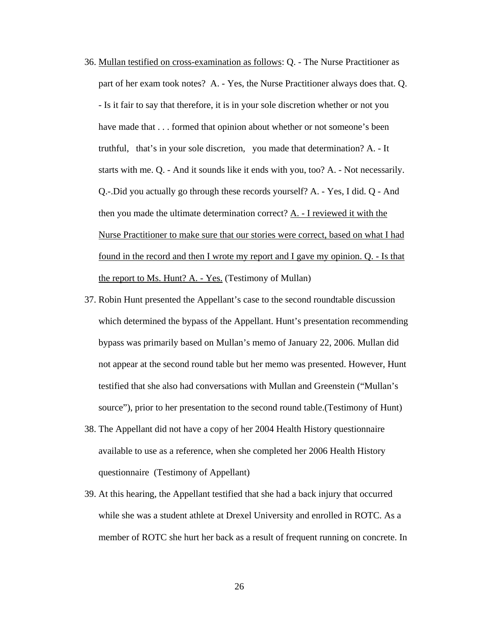- 36. Mullan testified on cross-examination as follows: Q. The Nurse Practitioner as part of her exam took notes? A. - Yes, the Nurse Practitioner always does that. Q. - Is it fair to say that therefore, it is in your sole discretion whether or not you have made that  $\dots$  formed that opinion about whether or not someone's been truthful, that's in your sole discretion, you made that determination? A. - It starts with me. Q. - And it sounds like it ends with you, too? A. - Not necessarily. Q.-.Did you actually go through these records yourself? A. - Yes, I did. Q - And then you made the ultimate determination correct? A. - I reviewed it with the Nurse Practitioner to make sure that our stories were correct, based on what I had found in the record and then I wrote my report and I gave my opinion. Q. - Is that the report to Ms. Hunt? A. - Yes. (Testimony of Mullan)
- 37. Robin Hunt presented the Appellant's case to the second roundtable discussion which determined the bypass of the Appellant. Hunt's presentation recommending bypass was primarily based on Mullan's memo of January 22, 2006. Mullan did not appear at the second round table but her memo was presented. However, Hunt testified that she also had conversations with Mullan and Greenstein ("Mullan's source"), prior to her presentation to the second round table.(Testimony of Hunt)
- 38. The Appellant did not have a copy of her 2004 Health History questionnaire available to use as a reference, when she completed her 2006 Health History questionnaire (Testimony of Appellant)
- 39. At this hearing, the Appellant testified that she had a back injury that occurred while she was a student athlete at Drexel University and enrolled in ROTC. As a member of ROTC she hurt her back as a result of frequent running on concrete. In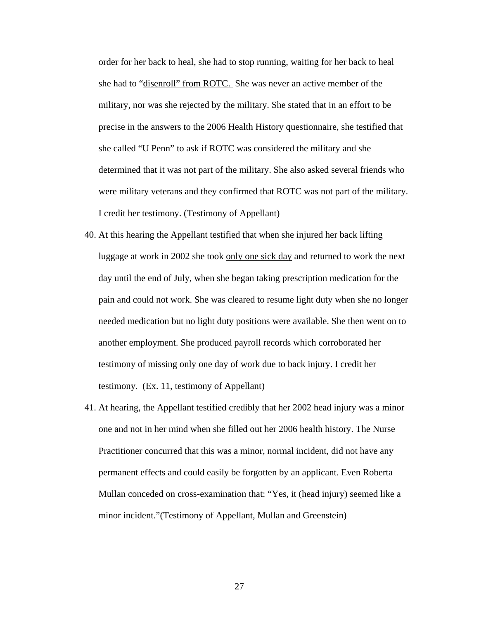order for her back to heal, she had to stop running, waiting for her back to heal she had to "disenroll" from ROTC. She was never an active member of the military, nor was she rejected by the military. She stated that in an effort to be precise in the answers to the 2006 Health History questionnaire, she testified that she called "U Penn" to ask if ROTC was considered the military and she determined that it was not part of the military. She also asked several friends who were military veterans and they confirmed that ROTC was not part of the military. I credit her testimony. (Testimony of Appellant)

- 40. At this hearing the Appellant testified that when she injured her back lifting luggage at work in 2002 she took only one sick day and returned to work the next day until the end of July, when she began taking prescription medication for the pain and could not work. She was cleared to resume light duty when she no longer needed medication but no light duty positions were available. She then went on to another employment. She produced payroll records which corroborated her testimony of missing only one day of work due to back injury. I credit her testimony. (Ex. 11, testimony of Appellant)
- 41. At hearing, the Appellant testified credibly that her 2002 head injury was a minor one and not in her mind when she filled out her 2006 health history. The Nurse Practitioner concurred that this was a minor, normal incident, did not have any permanent effects and could easily be forgotten by an applicant. Even Roberta Mullan conceded on cross-examination that: "Yes, it (head injury) seemed like a minor incident."(Testimony of Appellant, Mullan and Greenstein)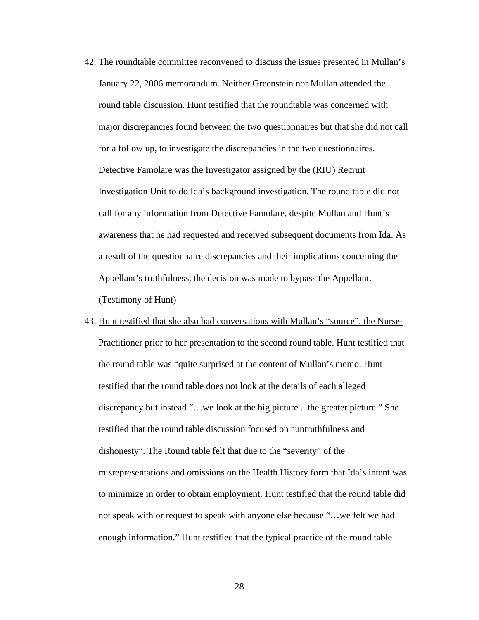- 42. The roundtable committee reconvened to discuss the issues presented in Mullan's January 22, 2006 memorandum. Neither Greenstein nor Mullan attended the round table discussion. Hunt testified that the roundtable was concerned with major discrepancies found between the two questionnaires but that she did not call for a follow up, to investigate the discrepancies in the two questionnaires. Detective Famolare was the Investigator assigned by the (RIU) Recruit Investigation Unit to do Ida's background investigation. The round table did not call for any information from Detective Famolare, despite Mullan and Hunt's awareness that he had requested and received subsequent documents from Ida. As a result of the questionnaire discrepancies and their implications concerning the Appellant's truthfulness, the decision was made to bypass the Appellant. (Testimony of Hunt)
- 43. Hunt testified that she also had conversations with Mullan's "source", the Nurse-Practitioner prior to her presentation to the second round table. Hunt testified that the round table was "quite surprised at the content of Mullan's memo. Hunt testified that the round table does not look at the details of each alleged discrepancy but instead "…we look at the big picture ...the greater picture." She testified that the round table discussion focused on "untruthfulness and dishonesty". The Round table felt that due to the "severity" of the misrepresentations and omissions on the Health History form that Ida's intent was to minimize in order to obtain employment. Hunt testified that the round table did not speak with or request to speak with anyone else because "…we felt we had enough information." Hunt testified that the typical practice of the round table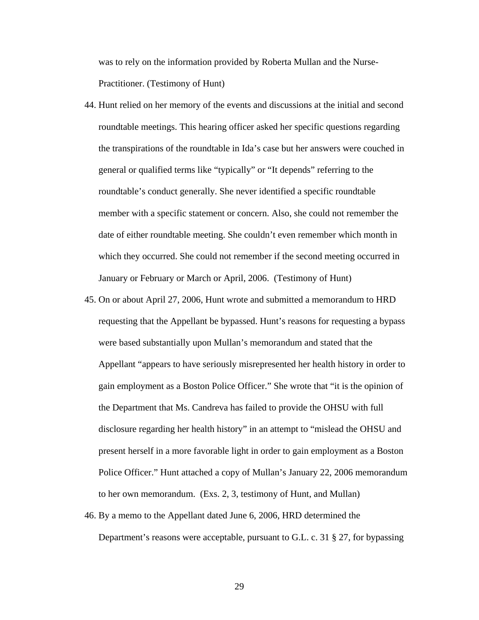was to rely on the information provided by Roberta Mullan and the Nurse-Practitioner. (Testimony of Hunt)

- 44. Hunt relied on her memory of the events and discussions at the initial and second roundtable meetings. This hearing officer asked her specific questions regarding the transpirations of the roundtable in Ida's case but her answers were couched in general or qualified terms like "typically" or "It depends" referring to the roundtable's conduct generally. She never identified a specific roundtable member with a specific statement or concern. Also, she could not remember the date of either roundtable meeting. She couldn't even remember which month in which they occurred. She could not remember if the second meeting occurred in January or February or March or April, 2006. (Testimony of Hunt)
- 45. On or about April 27, 2006, Hunt wrote and submitted a memorandum to HRD requesting that the Appellant be bypassed. Hunt's reasons for requesting a bypass were based substantially upon Mullan's memorandum and stated that the Appellant "appears to have seriously misrepresented her health history in order to gain employment as a Boston Police Officer." She wrote that "it is the opinion of the Department that Ms. Candreva has failed to provide the OHSU with full disclosure regarding her health history" in an attempt to "mislead the OHSU and present herself in a more favorable light in order to gain employment as a Boston Police Officer." Hunt attached a copy of Mullan's January 22, 2006 memorandum to her own memorandum. (Exs. 2, 3, testimony of Hunt, and Mullan)
- 46. By a memo to the Appellant dated June 6, 2006, HRD determined the Department's reasons were acceptable, pursuant to G.L. c. 31 § 27, for bypassing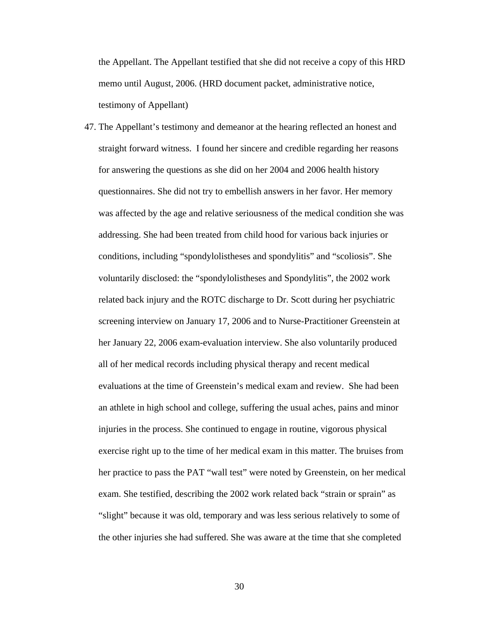the Appellant. The Appellant testified that she did not receive a copy of this HRD memo until August, 2006. (HRD document packet, administrative notice, testimony of Appellant)

47. The Appellant's testimony and demeanor at the hearing reflected an honest and straight forward witness. I found her sincere and credible regarding her reasons for answering the questions as she did on her 2004 and 2006 health history questionnaires. She did not try to embellish answers in her favor. Her memory was affected by the age and relative seriousness of the medical condition she was addressing. She had been treated from child hood for various back injuries or conditions, including "spondylolistheses and spondylitis" and "scoliosis". She voluntarily disclosed: the "spondylolistheses and Spondylitis", the 2002 work related back injury and the ROTC discharge to Dr. Scott during her psychiatric screening interview on January 17, 2006 and to Nurse-Practitioner Greenstein at her January 22, 2006 exam-evaluation interview. She also voluntarily produced all of her medical records including physical therapy and recent medical evaluations at the time of Greenstein's medical exam and review. She had been an athlete in high school and college, suffering the usual aches, pains and minor injuries in the process. She continued to engage in routine, vigorous physical exercise right up to the time of her medical exam in this matter. The bruises from her practice to pass the PAT "wall test" were noted by Greenstein, on her medical exam. She testified, describing the 2002 work related back "strain or sprain" as "slight" because it was old, temporary and was less serious relatively to some of the other injuries she had suffered. She was aware at the time that she completed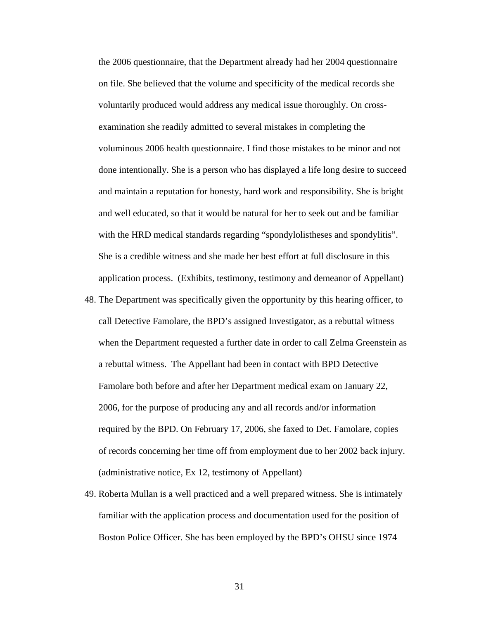the 2006 questionnaire, that the Department already had her 2004 questionnaire on file. She believed that the volume and specificity of the medical records she voluntarily produced would address any medical issue thoroughly. On crossexamination she readily admitted to several mistakes in completing the voluminous 2006 health questionnaire. I find those mistakes to be minor and not done intentionally. She is a person who has displayed a life long desire to succeed and maintain a reputation for honesty, hard work and responsibility. She is bright and well educated, so that it would be natural for her to seek out and be familiar with the HRD medical standards regarding "spondylolistheses and spondylitis". She is a credible witness and she made her best effort at full disclosure in this application process. (Exhibits, testimony, testimony and demeanor of Appellant)

- 48. The Department was specifically given the opportunity by this hearing officer, to call Detective Famolare, the BPD's assigned Investigator, as a rebuttal witness when the Department requested a further date in order to call Zelma Greenstein as a rebuttal witness. The Appellant had been in contact with BPD Detective Famolare both before and after her Department medical exam on January 22, 2006, for the purpose of producing any and all records and/or information required by the BPD. On February 17, 2006, she faxed to Det. Famolare, copies of records concerning her time off from employment due to her 2002 back injury. (administrative notice, Ex 12, testimony of Appellant)
- 49. Roberta Mullan is a well practiced and a well prepared witness. She is intimately familiar with the application process and documentation used for the position of Boston Police Officer. She has been employed by the BPD's OHSU since 1974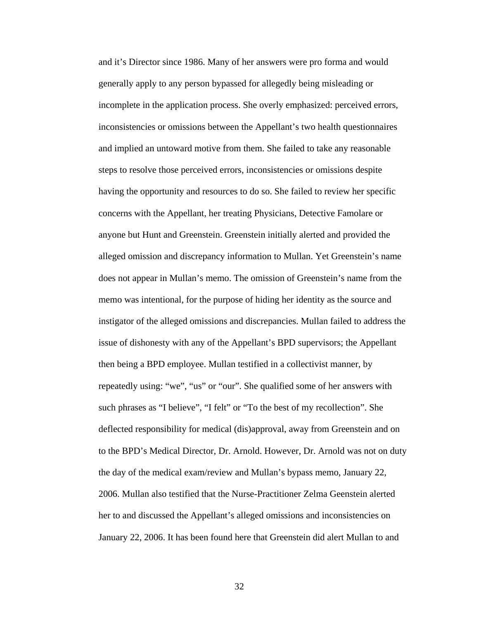and it's Director since 1986. Many of her answers were pro forma and would generally apply to any person bypassed for allegedly being misleading or incomplete in the application process. She overly emphasized: perceived errors, inconsistencies or omissions between the Appellant's two health questionnaires and implied an untoward motive from them. She failed to take any reasonable steps to resolve those perceived errors, inconsistencies or omissions despite having the opportunity and resources to do so. She failed to review her specific concerns with the Appellant, her treating Physicians, Detective Famolare or anyone but Hunt and Greenstein. Greenstein initially alerted and provided the alleged omission and discrepancy information to Mullan. Yet Greenstein's name does not appear in Mullan's memo. The omission of Greenstein's name from the memo was intentional, for the purpose of hiding her identity as the source and instigator of the alleged omissions and discrepancies. Mullan failed to address the issue of dishonesty with any of the Appellant's BPD supervisors; the Appellant then being a BPD employee. Mullan testified in a collectivist manner, by repeatedly using: "we", "us" or "our". She qualified some of her answers with such phrases as "I believe", "I felt" or "To the best of my recollection". She deflected responsibility for medical (dis)approval, away from Greenstein and on to the BPD's Medical Director, Dr. Arnold. However, Dr. Arnold was not on duty the day of the medical exam/review and Mullan's bypass memo, January 22, 2006. Mullan also testified that the Nurse-Practitioner Zelma Geenstein alerted her to and discussed the Appellant's alleged omissions and inconsistencies on January 22, 2006. It has been found here that Greenstein did alert Mullan to and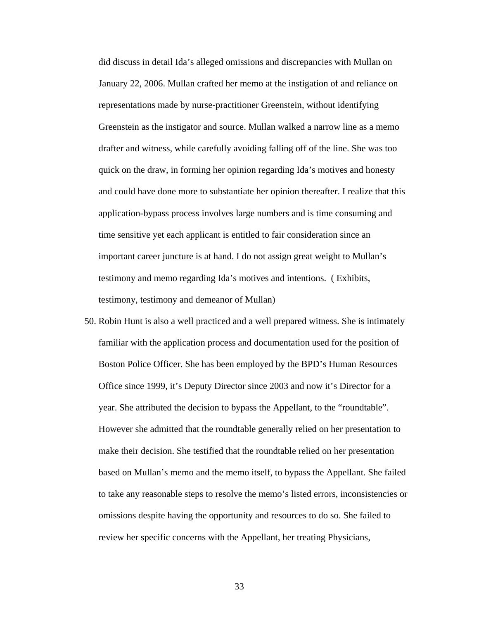did discuss in detail Ida's alleged omissions and discrepancies with Mullan on January 22, 2006. Mullan crafted her memo at the instigation of and reliance on representations made by nurse-practitioner Greenstein, without identifying Greenstein as the instigator and source. Mullan walked a narrow line as a memo drafter and witness, while carefully avoiding falling off of the line. She was too quick on the draw, in forming her opinion regarding Ida's motives and honesty and could have done more to substantiate her opinion thereafter. I realize that this application-bypass process involves large numbers and is time consuming and time sensitive yet each applicant is entitled to fair consideration since an important career juncture is at hand. I do not assign great weight to Mullan's testimony and memo regarding Ida's motives and intentions. ( Exhibits, testimony, testimony and demeanor of Mullan)

50. Robin Hunt is also a well practiced and a well prepared witness. She is intimately familiar with the application process and documentation used for the position of Boston Police Officer. She has been employed by the BPD's Human Resources Office since 1999, it's Deputy Director since 2003 and now it's Director for a year. She attributed the decision to bypass the Appellant, to the "roundtable". However she admitted that the roundtable generally relied on her presentation to make their decision. She testified that the roundtable relied on her presentation based on Mullan's memo and the memo itself, to bypass the Appellant. She failed to take any reasonable steps to resolve the memo's listed errors, inconsistencies or omissions despite having the opportunity and resources to do so. She failed to review her specific concerns with the Appellant, her treating Physicians,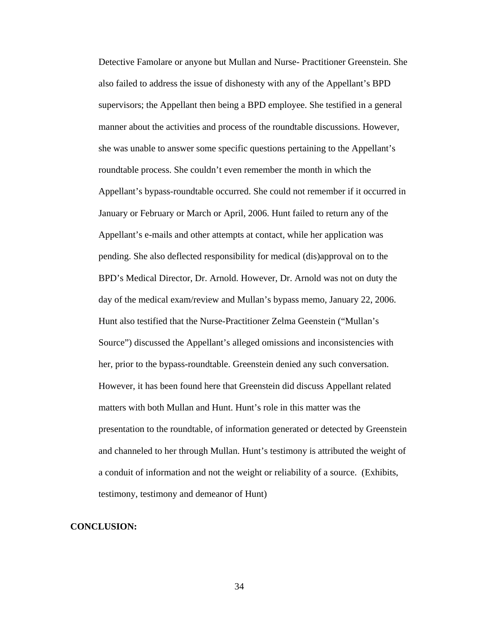Detective Famolare or anyone but Mullan and Nurse- Practitioner Greenstein. She also failed to address the issue of dishonesty with any of the Appellant's BPD supervisors; the Appellant then being a BPD employee. She testified in a general manner about the activities and process of the roundtable discussions. However, she was unable to answer some specific questions pertaining to the Appellant's roundtable process. She couldn't even remember the month in which the Appellant's bypass-roundtable occurred. She could not remember if it occurred in January or February or March or April, 2006. Hunt failed to return any of the Appellant's e-mails and other attempts at contact, while her application was pending. She also deflected responsibility for medical (dis)approval on to the BPD's Medical Director, Dr. Arnold. However, Dr. Arnold was not on duty the day of the medical exam/review and Mullan's bypass memo, January 22, 2006. Hunt also testified that the Nurse-Practitioner Zelma Geenstein ("Mullan's Source") discussed the Appellant's alleged omissions and inconsistencies with her, prior to the bypass-roundtable. Greenstein denied any such conversation. However, it has been found here that Greenstein did discuss Appellant related matters with both Mullan and Hunt. Hunt's role in this matter was the presentation to the roundtable, of information generated or detected by Greenstein and channeled to her through Mullan. Hunt's testimony is attributed the weight of a conduit of information and not the weight or reliability of a source. (Exhibits, testimony, testimony and demeanor of Hunt)

## **CONCLUSION:**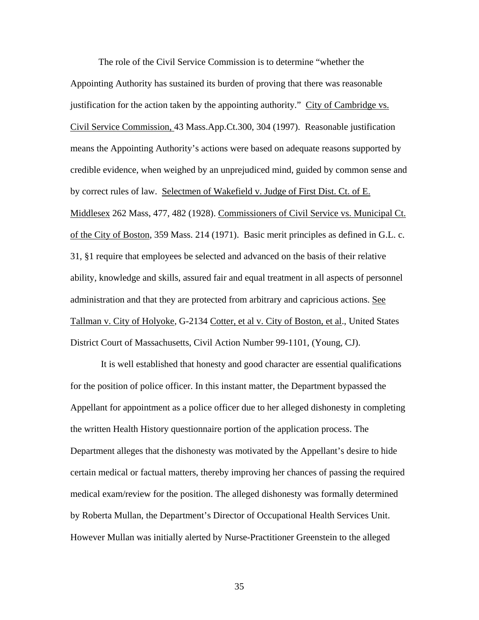The role of the Civil Service Commission is to determine "whether the Appointing Authority has sustained its burden of proving that there was reasonable justification for the action taken by the appointing authority." City of Cambridge vs. Civil Service Commission, 43 Mass.App.Ct.300, 304 (1997). Reasonable justification means the Appointing Authority's actions were based on adequate reasons supported by credible evidence, when weighed by an unprejudiced mind, guided by common sense and by correct rules of law. Selectmen of Wakefield v. Judge of First Dist. Ct. of E. Middlesex 262 Mass, 477, 482 (1928). Commissioners of Civil Service vs. Municipal Ct. of the City of Boston, 359 Mass. 214 (1971). Basic merit principles as defined in G.L. c. 31, §1 require that employees be selected and advanced on the basis of their relative ability, knowledge and skills, assured fair and equal treatment in all aspects of personnel administration and that they are protected from arbitrary and capricious actions. See Tallman v. City of Holyoke, G-2134 Cotter, et al v. City of Boston, et al., United States District Court of Massachusetts, Civil Action Number 99-1101, (Young, CJ).

 It is well established that honesty and good character are essential qualifications for the position of police officer. In this instant matter, the Department bypassed the Appellant for appointment as a police officer due to her alleged dishonesty in completing the written Health History questionnaire portion of the application process. The Department alleges that the dishonesty was motivated by the Appellant's desire to hide certain medical or factual matters, thereby improving her chances of passing the required medical exam/review for the position. The alleged dishonesty was formally determined by Roberta Mullan, the Department's Director of Occupational Health Services Unit. However Mullan was initially alerted by Nurse-Practitioner Greenstein to the alleged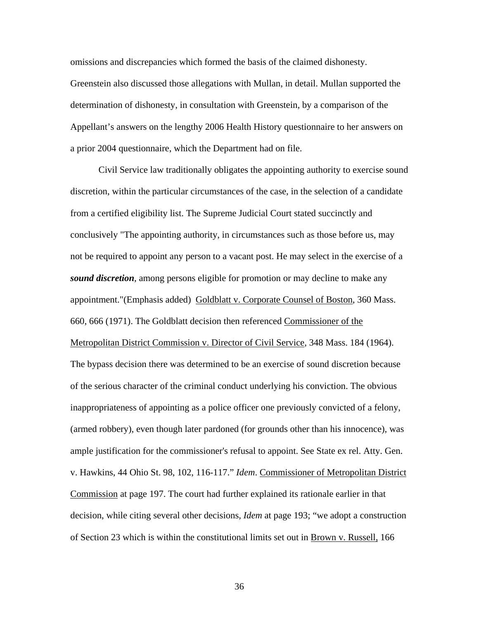omissions and discrepancies which formed the basis of the claimed dishonesty. Greenstein also discussed those allegations with Mullan, in detail. Mullan supported the determination of dishonesty, in consultation with Greenstein, by a comparison of the Appellant's answers on the lengthy 2006 Health History questionnaire to her answers on a prior 2004 questionnaire, which the Department had on file.

Civil Service law traditionally obligates the appointing authority to exercise sound discretion, within the particular circumstances of the case, in the selection of a candidate from a certified eligibility list. The Supreme Judicial Court stated succinctly and conclusively "The appointing authority, in circumstances such as those before us, may not be required to appoint any person to a vacant post. He may select in the exercise of a *sound discretion*, among persons eligible for promotion or may decline to make any appointment."(Emphasis added) Goldblatt v. Corporate Counsel of Boston, 360 Mass. 660, 666 (1971). The Goldblatt decision then referenced Commissioner of the Metropolitan District Commission v. Director of Civil Service, 348 Mass. 184 (1964). The bypass decision there was determined to be an exercise of sound discretion because of the serious character of the criminal conduct underlying his conviction. The obvious inappropriateness of appointing as a police officer one previously convicted of a felony, (armed robbery), even though later pardoned (for grounds other than his innocence), was ample justification for the commissioner's refusal to appoint. See State ex rel. Atty. Gen. v. Hawkins, 44 Ohio St. 98, 102, 116-117." *Idem*. Commissioner of Metropolitan District Commission at page 197. The court had further explained its rationale earlier in that decision, while citing several other decisions, *Idem* at page 193; "we adopt a construction of Section 23 which is within the constitutional limits set out in Brown v. Russell, 166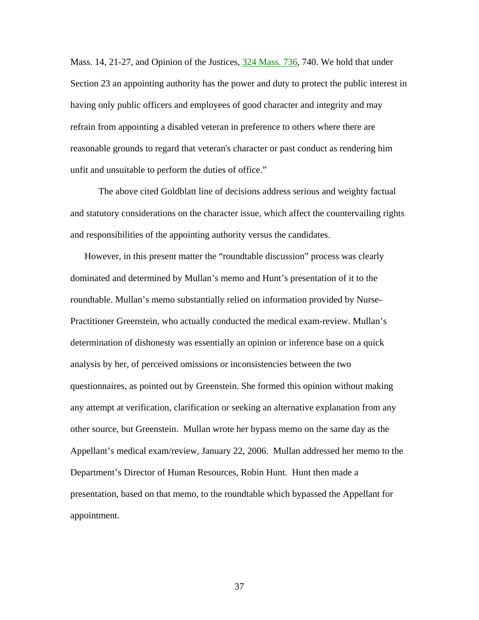Mass. 14, 21-27, and Opinion of the Justices,  $\frac{324 \text{ Mass}}{236}$ , 740. We hold that under Section 23 an appointing authority has the power and duty to protect the public interest in having only public officers and employees of good character and integrity and may refrain from appointing a disabled veteran in preference to others where there are reasonable grounds to regard that veteran's character or past conduct as rendering him unfit and unsuitable to perform the duties of office."

The above cited Goldblatt line of decisions address serious and weighty factual and statutory considerations on the character issue, which affect the countervailing rights and responsibilities of the appointing authority versus the candidates.

However, in this present matter the "roundtable discussion" process was clearly dominated and determined by Mullan's memo and Hunt's presentation of it to the roundtable. Mullan's memo substantially relied on information provided by Nurse-Practitioner Greenstein, who actually conducted the medical exam-review. Mullan's determination of dishonesty was essentially an opinion or inference base on a quick analysis by her, of perceived omissions or inconsistencies between the two questionnaires, as pointed out by Greenstein. She formed this opinion without making any attempt at verification, clarification or seeking an alternative explanation from any other source, but Greenstein. Mullan wrote her bypass memo on the same day as the Appellant's medical exam/review, January 22, 2006. Mullan addressed her memo to the Department's Director of Human Resources, Robin Hunt. Hunt then made a presentation, based on that memo, to the roundtable which bypassed the Appellant for appointment.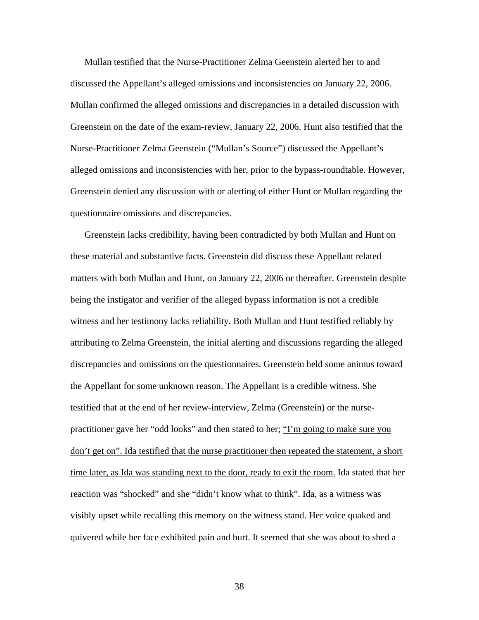Mullan testified that the Nurse-Practitioner Zelma Geenstein alerted her to and discussed the Appellant's alleged omissions and inconsistencies on January 22, 2006. Mullan confirmed the alleged omissions and discrepancies in a detailed discussion with Greenstein on the date of the exam-review, January 22, 2006. Hunt also testified that the Nurse-Practitioner Zelma Geenstein ("Mullan's Source") discussed the Appellant's alleged omissions and inconsistencies with her, prior to the bypass-roundtable. However, Greenstein denied any discussion with or alerting of either Hunt or Mullan regarding the questionnaire omissions and discrepancies.

Greenstein lacks credibility, having been contradicted by both Mullan and Hunt on these material and substantive facts. Greenstein did discuss these Appellant related matters with both Mullan and Hunt, on January 22, 2006 or thereafter. Greenstein despite being the instigator and verifier of the alleged bypass information is not a credible witness and her testimony lacks reliability. Both Mullan and Hunt testified reliably by attributing to Zelma Greenstein, the initial alerting and discussions regarding the alleged discrepancies and omissions on the questionnaires. Greenstein held some animus toward the Appellant for some unknown reason. The Appellant is a credible witness. She testified that at the end of her review-interview, Zelma (Greenstein) or the nursepractitioner gave her "odd looks" and then stated to her; "I'm going to make sure you don't get on". Ida testified that the nurse practitioner then repeated the statement, a short time later, as Ida was standing next to the door, ready to exit the room. Ida stated that her reaction was "shocked" and she "didn't know what to think". Ida, as a witness was visibly upset while recalling this memory on the witness stand. Her voice quaked and quivered while her face exhibited pain and hurt. It seemed that she was about to shed a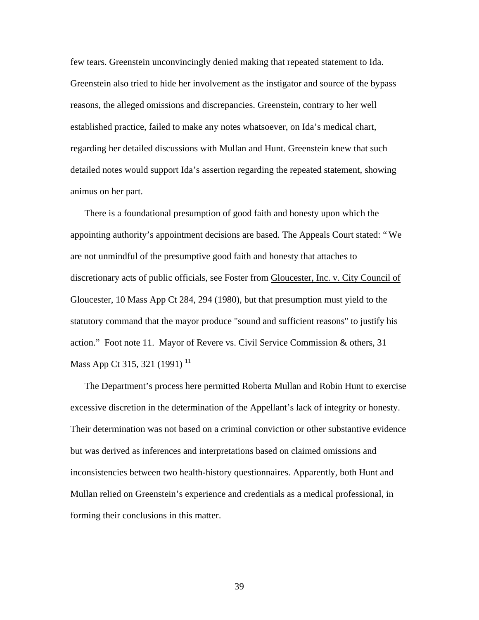few tears. Greenstein unconvincingly denied making that repeated statement to Ida. Greenstein also tried to hide her involvement as the instigator and source of the bypass reasons, the alleged omissions and discrepancies. Greenstein, contrary to her well established practice, failed to make any notes whatsoever, on Ida's medical chart, regarding her detailed discussions with Mullan and Hunt. Greenstein knew that such detailed notes would support Ida's assertion regarding the repeated statement, showing animus on her part.

There is a foundational presumption of good faith and honesty upon which the appointing authority's appointment decisions are based. The Appeals Court stated: "We are not unmindful of the presumptive good faith and honesty that attaches to discretionary acts of public officials, see Foster from Gloucester, Inc. v. City Council of Gloucester, 10 Mass App Ct 284, 294 (1980), but that presumption must yield to the statutory command that the mayor produce "sound and sufficient reasons" to justify his action." Foot note 11. Mayor of Revere vs. Civil Service Commission & others, 31 Mass App Ct 315, 321 (1991)<sup>11</sup>

The Department's process here permitted Roberta Mullan and Robin Hunt to exercise excessive discretion in the determination of the Appellant's lack of integrity or honesty. Their determination was not based on a criminal conviction or other substantive evidence but was derived as inferences and interpretations based on claimed omissions and inconsistencies between two health-history questionnaires. Apparently, both Hunt and Mullan relied on Greenstein's experience and credentials as a medical professional, in forming their conclusions in this matter.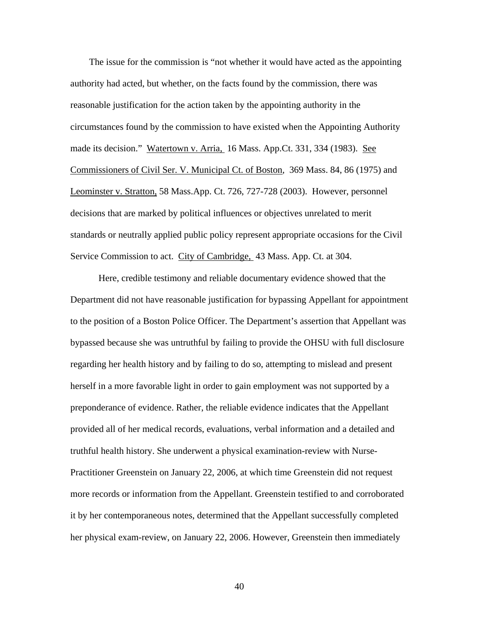The issue for the commission is "not whether it would have acted as the appointing authority had acted, but whether, on the facts found by the commission, there was reasonable justification for the action taken by the appointing authority in the circumstances found by the commission to have existed when the Appointing Authority made its decision." Watertown v. Arria, 16 Mass. App.Ct. 331, 334 (1983). See Commissioners of Civil Ser. V. Municipal Ct. of Boston*,* 369 Mass. 84, 86 (1975) and Leominster v. Stratton, 58 Mass.App. Ct. 726, 727-728 (2003). However, personnel decisions that are marked by political influences or objectives unrelated to merit standards or neutrally applied public policy represent appropriate occasions for the Civil Service Commission to act. City of Cambridge, 43 Mass. App. Ct. at 304.

 Here, credible testimony and reliable documentary evidence showed that the Department did not have reasonable justification for bypassing Appellant for appointment to the position of a Boston Police Officer. The Department's assertion that Appellant was bypassed because she was untruthful by failing to provide the OHSU with full disclosure regarding her health history and by failing to do so, attempting to mislead and present herself in a more favorable light in order to gain employment was not supported by a preponderance of evidence. Rather, the reliable evidence indicates that the Appellant provided all of her medical records, evaluations, verbal information and a detailed and truthful health history. She underwent a physical examination-review with Nurse-Practitioner Greenstein on January 22, 2006, at which time Greenstein did not request more records or information from the Appellant. Greenstein testified to and corroborated it by her contemporaneous notes, determined that the Appellant successfully completed her physical exam-review, on January 22, 2006. However, Greenstein then immediately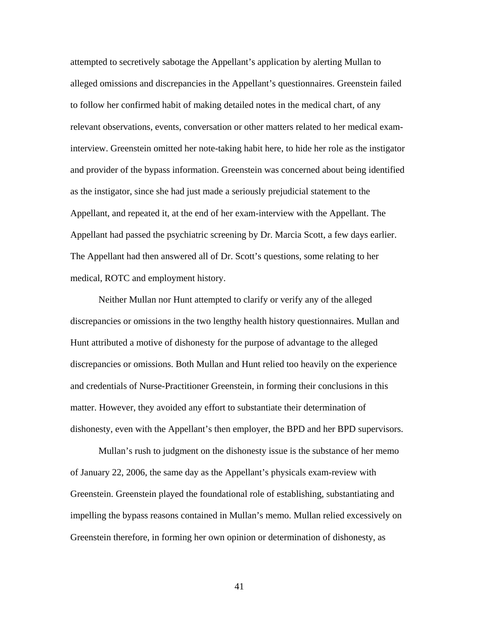attempted to secretively sabotage the Appellant's application by alerting Mullan to alleged omissions and discrepancies in the Appellant's questionnaires. Greenstein failed to follow her confirmed habit of making detailed notes in the medical chart, of any relevant observations, events, conversation or other matters related to her medical examinterview. Greenstein omitted her note-taking habit here, to hide her role as the instigator and provider of the bypass information. Greenstein was concerned about being identified as the instigator, since she had just made a seriously prejudicial statement to the Appellant, and repeated it, at the end of her exam-interview with the Appellant. The Appellant had passed the psychiatric screening by Dr. Marcia Scott, a few days earlier. The Appellant had then answered all of Dr. Scott's questions, some relating to her medical, ROTC and employment history.

Neither Mullan nor Hunt attempted to clarify or verify any of the alleged discrepancies or omissions in the two lengthy health history questionnaires. Mullan and Hunt attributed a motive of dishonesty for the purpose of advantage to the alleged discrepancies or omissions. Both Mullan and Hunt relied too heavily on the experience and credentials of Nurse-Practitioner Greenstein, in forming their conclusions in this matter. However, they avoided any effort to substantiate their determination of dishonesty, even with the Appellant's then employer, the BPD and her BPD supervisors.

Mullan's rush to judgment on the dishonesty issue is the substance of her memo of January 22, 2006, the same day as the Appellant's physicals exam-review with Greenstein. Greenstein played the foundational role of establishing, substantiating and impelling the bypass reasons contained in Mullan's memo. Mullan relied excessively on Greenstein therefore, in forming her own opinion or determination of dishonesty, as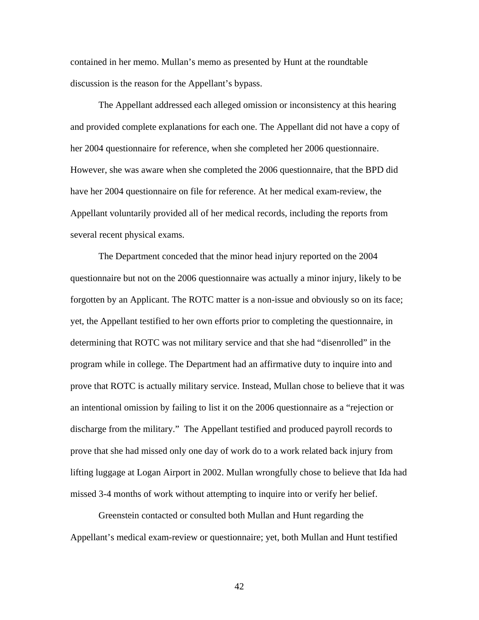contained in her memo. Mullan's memo as presented by Hunt at the roundtable discussion is the reason for the Appellant's bypass.

The Appellant addressed each alleged omission or inconsistency at this hearing and provided complete explanations for each one. The Appellant did not have a copy of her 2004 questionnaire for reference, when she completed her 2006 questionnaire. However, she was aware when she completed the 2006 questionnaire, that the BPD did have her 2004 questionnaire on file for reference. At her medical exam-review, the Appellant voluntarily provided all of her medical records, including the reports from several recent physical exams.

The Department conceded that the minor head injury reported on the 2004 questionnaire but not on the 2006 questionnaire was actually a minor injury, likely to be forgotten by an Applicant. The ROTC matter is a non-issue and obviously so on its face; yet, the Appellant testified to her own efforts prior to completing the questionnaire, in determining that ROTC was not military service and that she had "disenrolled" in the program while in college. The Department had an affirmative duty to inquire into and prove that ROTC is actually military service. Instead, Mullan chose to believe that it was an intentional omission by failing to list it on the 2006 questionnaire as a "rejection or discharge from the military." The Appellant testified and produced payroll records to prove that she had missed only one day of work do to a work related back injury from lifting luggage at Logan Airport in 2002. Mullan wrongfully chose to believe that Ida had missed 3-4 months of work without attempting to inquire into or verify her belief.

Greenstein contacted or consulted both Mullan and Hunt regarding the Appellant's medical exam-review or questionnaire; yet, both Mullan and Hunt testified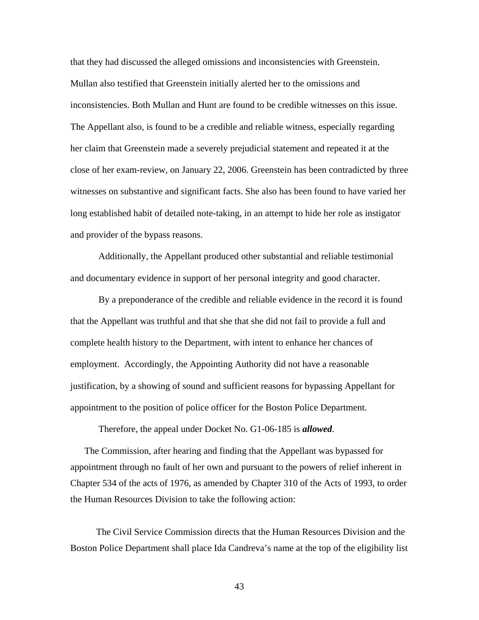that they had discussed the alleged omissions and inconsistencies with Greenstein. Mullan also testified that Greenstein initially alerted her to the omissions and inconsistencies. Both Mullan and Hunt are found to be credible witnesses on this issue. The Appellant also, is found to be a credible and reliable witness, especially regarding her claim that Greenstein made a severely prejudicial statement and repeated it at the close of her exam-review, on January 22, 2006. Greenstein has been contradicted by three witnesses on substantive and significant facts. She also has been found to have varied her long established habit of detailed note-taking, in an attempt to hide her role as instigator and provider of the bypass reasons.

Additionally, the Appellant produced other substantial and reliable testimonial and documentary evidence in support of her personal integrity and good character.

By a preponderance of the credible and reliable evidence in the record it is found that the Appellant was truthful and that she that she did not fail to provide a full and complete health history to the Department, with intent to enhance her chances of employment. Accordingly, the Appointing Authority did not have a reasonable justification, by a showing of sound and sufficient reasons for bypassing Appellant for appointment to the position of police officer for the Boston Police Department.

Therefore, the appeal under Docket No. G1-06-185 is *allowed*.

 The Commission, after hearing and finding that the Appellant was bypassed for appointment through no fault of her own and pursuant to the powers of relief inherent in Chapter 534 of the acts of 1976, as amended by Chapter 310 of the Acts of 1993, to order the Human Resources Division to take the following action:

 The Civil Service Commission directs that the Human Resources Division and the Boston Police Department shall place Ida Candreva's name at the top of the eligibility list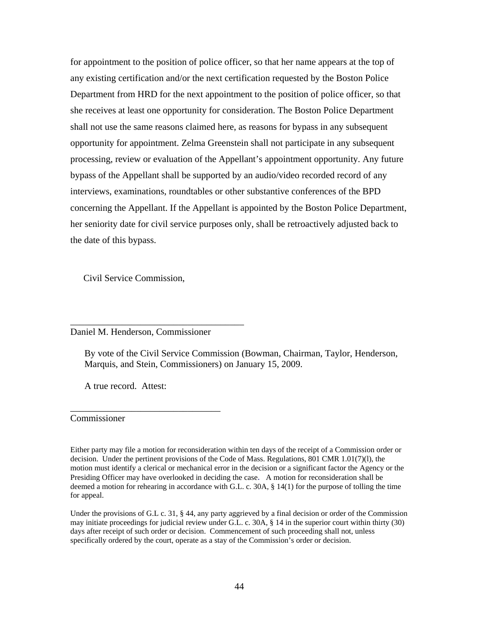for appointment to the position of police officer, so that her name appears at the top of any existing certification and/or the next certification requested by the Boston Police Department from HRD for the next appointment to the position of police officer, so that she receives at least one opportunity for consideration. The Boston Police Department shall not use the same reasons claimed here, as reasons for bypass in any subsequent opportunity for appointment. Zelma Greenstein shall not participate in any subsequent processing, review or evaluation of the Appellant's appointment opportunity. Any future bypass of the Appellant shall be supported by an audio/video recorded record of any interviews, examinations, roundtables or other substantive conferences of the BPD concerning the Appellant. If the Appellant is appointed by the Boston Police Department, her seniority date for civil service purposes only, shall be retroactively adjusted back to the date of this bypass.

Civil Service Commission,

#### Daniel M. Henderson, Commissioner

\_\_\_\_\_\_\_\_\_\_\_\_\_\_\_\_\_\_\_\_\_\_\_\_\_\_\_\_\_\_\_\_

\_\_\_\_\_\_\_\_\_\_\_\_\_\_\_\_\_\_\_\_\_\_\_\_\_\_\_\_\_\_\_\_\_\_\_\_\_

By vote of the Civil Service Commission (Bowman, Chairman, Taylor, Henderson, Marquis, and Stein, Commissioners) on January 15, 2009.

A true record. Attest:

Commissioner

Either party may file a motion for reconsideration within ten days of the receipt of a Commission order or decision. Under the pertinent provisions of the Code of Mass. Regulations, 801 CMR 1.01(7)(l), the motion must identify a clerical or mechanical error in the decision or a significant factor the Agency or the Presiding Officer may have overlooked in deciding the case. A motion for reconsideration shall be deemed a motion for rehearing in accordance with G.L. c. 30A, § 14(1) for the purpose of tolling the time for appeal.

Under the provisions of G.L c. 31, § 44, any party aggrieved by a final decision or order of the Commission may initiate proceedings for judicial review under G.L. c. 30A, § 14 in the superior court within thirty (30) days after receipt of such order or decision. Commencement of such proceeding shall not, unless specifically ordered by the court, operate as a stay of the Commission's order or decision.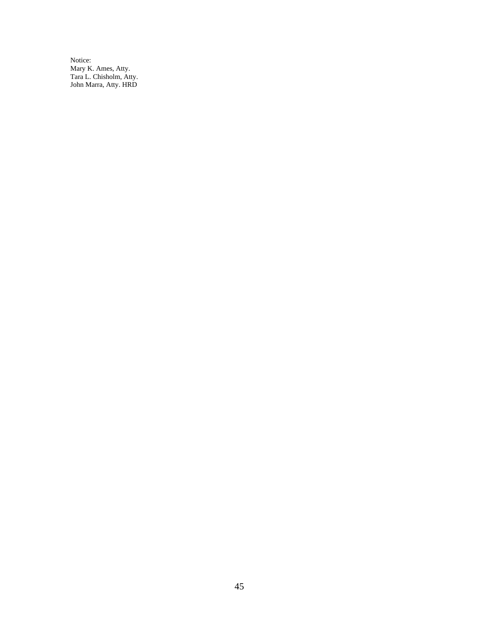Notice: Mary K. Ames, Atty. Tara L. Chisholm, Atty. John Marra, Atty. HRD